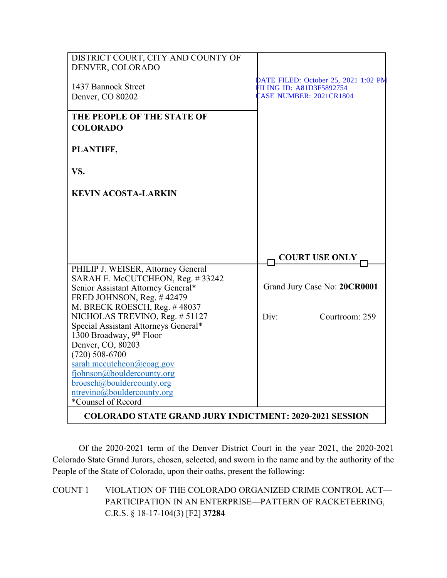| DISTRICT COURT, CITY AND COUNTY OF                                                                  |                                                                                                           |
|-----------------------------------------------------------------------------------------------------|-----------------------------------------------------------------------------------------------------------|
| DENVER, COLORADO                                                                                    |                                                                                                           |
| 1437 Bannock Street<br>Denver, CO 80202                                                             | DATE FILED: October 25, 2021 1:02 PM<br><b>FILING ID: A81D3F5892754</b><br><b>EASE NUMBER: 2021CR1804</b> |
| THE PEOPLE OF THE STATE OF<br><b>COLORADO</b>                                                       |                                                                                                           |
| PLANTIFF,                                                                                           |                                                                                                           |
| VS.                                                                                                 |                                                                                                           |
| <b>KEVIN ACOSTA-LARKIN</b>                                                                          |                                                                                                           |
|                                                                                                     |                                                                                                           |
|                                                                                                     |                                                                                                           |
|                                                                                                     | <b>COURT USE ONLY</b>                                                                                     |
| PHILIP J. WEISER, Attorney General                                                                  |                                                                                                           |
| SARAH E. McCUTCHEON, Reg. #33242<br>Senior Assistant Attorney General*<br>FRED JOHNSON, Reg. #42479 | Grand Jury Case No: 20CR0001                                                                              |
| M. BRECK ROESCH, Reg. #48037                                                                        |                                                                                                           |
| NICHOLAS TREVINO, Reg. # 51127<br>Special Assistant Attorneys General*                              | Div:<br>Courtroom: 259                                                                                    |
| 1300 Broadway, 9th Floor                                                                            |                                                                                                           |
| Denver, CO, 80203                                                                                   |                                                                                                           |
| $(720)$ 508-6700                                                                                    |                                                                                                           |
| sarah.mccutcheon@coag.gov                                                                           |                                                                                                           |
| fjohnson@bouldercounty.org<br>broesch@bouldercounty.org                                             |                                                                                                           |
| ntrevino@bouldercounty.org                                                                          |                                                                                                           |
| *Counsel of Record                                                                                  |                                                                                                           |
| <b>COLORADO STATE GRAND JURY INDICTMENT: 2020-2021 SESSION</b>                                      |                                                                                                           |

Of the 2020-2021 term of the Denver District Court in the year 2021, the 2020-2021 Colorado State Grand Jurors, chosen, selected, and sworn in the name and by the authority of the People of the State of Colorado, upon their oaths, present the following:

COUNT 1 VIOLATION OF THE COLORADO ORGANIZED CRIME CONTROL ACT— PARTICIPATION IN AN ENTERPRISE—PATTERN OF RACKETEERING, C.R.S. § 18-17-104(3) [F2] **37284**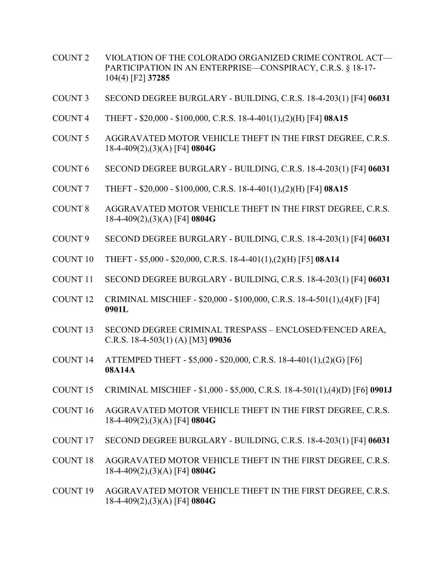- COUNT 2 VIOLATION OF THE COLORADO ORGANIZED CRIME CONTROL ACT— PARTICIPATION IN AN ENTERPRISE—CONSPIRACY, C.R.S. § 18-17- 104(4) [F2] **37285**
- COUNT 3 SECOND DEGREE BURGLARY BUILDING, C.R.S. 18-4-203(1) [F4] **06031**
- COUNT 4 THEFT \$20,000 \$100,000, C.R.S. 18-4-401(1),(2)(H) [F4] **08A15**
- COUNT 5 AGGRAVATED MOTOR VEHICLE THEFT IN THE FIRST DEGREE, C.R.S. 18-4-409(2),(3)(A) [F4] **0804G**
- COUNT 6 SECOND DEGREE BURGLARY BUILDING, C.R.S. 18-4-203(1) [F4] **06031**
- COUNT 7 THEFT \$20,000 \$100,000, C.R.S. 18-4-401(1),(2)(H) [F4] **08A15**
- COUNT 8 AGGRAVATED MOTOR VEHICLE THEFT IN THE FIRST DEGREE, C.R.S. 18-4-409(2),(3)(A) [F4] **0804G**
- COUNT 9 SECOND DEGREE BURGLARY BUILDING, C.R.S. 18-4-203(1) [F4] **06031**
- COUNT 10 THEFT \$5,000 \$20,000, C.R.S. 18-4-401(1),(2)(H) [F5] **08A14**
- COUNT 11 SECOND DEGREE BURGLARY BUILDING, C.R.S. 18-4-203(1) [F4] **06031**
- COUNT 12 CRIMINAL MISCHIEF \$20,000 \$100,000, C.R.S. 18-4-501(1),(4)(F) [F4] **0901L**
- COUNT 13 SECOND DEGREE CRIMINAL TRESPASS ENCLOSED/FENCED AREA, C.R.S. 18-4-503(1) (A) [M3] **09036**
- COUNT 14 ATTEMPED THEFT \$5,000 \$20,000, C.R.S. 18-4-401(1),(2)(G) [F6] **08A14A**
- COUNT 15 CRIMINAL MISCHIEF \$1,000 \$5,000, C.R.S. 18-4-501(1),(4)(D) [F6] **0901J**
- COUNT 16 AGGRAVATED MOTOR VEHICLE THEFT IN THE FIRST DEGREE, C.R.S. 18-4-409(2),(3)(A) [F4] **0804G**
- COUNT 17 SECOND DEGREE BURGLARY BUILDING, C.R.S. 18-4-203(1) [F4] **06031**
- COUNT 18 AGGRAVATED MOTOR VEHICLE THEFT IN THE FIRST DEGREE, C.R.S. 18-4-409(2),(3)(A) [F4] **0804G**
- COUNT 19 AGGRAVATED MOTOR VEHICLE THEFT IN THE FIRST DEGREE, C.R.S. 18-4-409(2),(3)(A) [F4] **0804G**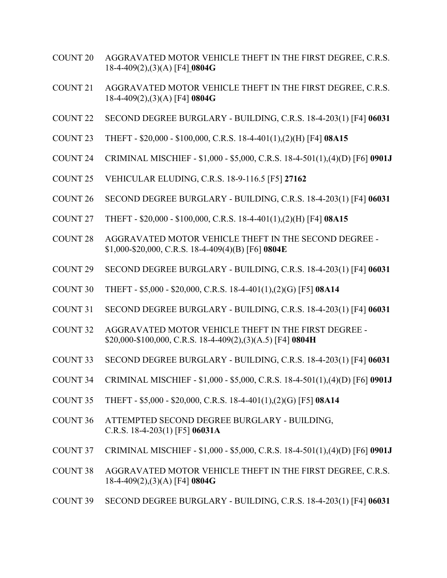- COUNT 20 AGGRAVATED MOTOR VEHICLE THEFT IN THE FIRST DEGREE, C.R.S. 18-4-409(2),(3)(A) [F4] **0804G**
- COUNT 21 AGGRAVATED MOTOR VEHICLE THEFT IN THE FIRST DEGREE, C.R.S. 18-4-409(2),(3)(A) [F4] **0804G**
- COUNT 22 SECOND DEGREE BURGLARY BUILDING, C.R.S. 18-4-203(1) [F4] **06031**
- COUNT 23 THEFT \$20,000 \$100,000, C.R.S. 18-4-401(1),(2)(H) [F4] **08A15**
- COUNT 24 CRIMINAL MISCHIEF \$1,000 \$5,000, C.R.S. 18-4-501(1),(4)(D) [F6] **0901J**
- COUNT 25 VEHICULAR ELUDING, C.R.S. 18-9-116.5 [F5] **27162**
- COUNT 26 SECOND DEGREE BURGLARY BUILDING, C.R.S. 18-4-203(1) [F4] **06031**
- COUNT 27 THEFT \$20,000 \$100,000, C.R.S. 18-4-401(1),(2)(H) [F4] **08A15**
- COUNT 28 AGGRAVATED MOTOR VEHICLE THEFT IN THE SECOND DEGREE \$1,000-\$20,000, C.R.S. 18-4-409(4)(B) [F6] **0804E**
- COUNT 29 SECOND DEGREE BURGLARY BUILDING, C.R.S. 18-4-203(1) [F4] **06031**
- COUNT 30 THEFT \$5,000 \$20,000, C.R.S. 18-4-401(1),(2)(G) [F5] **08A14**
- COUNT 31 SECOND DEGREE BURGLARY BUILDING, C.R.S. 18-4-203(1) [F4] **06031**
- COUNT 32 AGGRAVATED MOTOR VEHICLE THEFT IN THE FIRST DEGREE \$20,000-\$100,000, C.R.S. 18-4-409(2),(3)(A.5) [F4] **0804H**
- COUNT 33 SECOND DEGREE BURGLARY BUILDING, C.R.S. 18-4-203(1) [F4] **06031**
- COUNT 34 CRIMINAL MISCHIEF \$1,000 \$5,000, C.R.S. 18-4-501(1),(4)(D) [F6] **0901J**
- COUNT 35 THEFT \$5,000 \$20,000, C.R.S. 18-4-401(1),(2)(G) [F5] **08A14**
- COUNT 36 ATTEMPTED SECOND DEGREE BURGLARY BUILDING, C.R.S. 18-4-203(1) [F5] **06031A**
- COUNT 37 CRIMINAL MISCHIEF \$1,000 \$5,000, C.R.S. 18-4-501(1),(4)(D) [F6] **0901J**
- COUNT 38 AGGRAVATED MOTOR VEHICLE THEFT IN THE FIRST DEGREE, C.R.S. 18-4-409(2),(3)(A) [F4] **0804G**
- COUNT 39 SECOND DEGREE BURGLARY BUILDING, C.R.S. 18-4-203(1) [F4] **06031**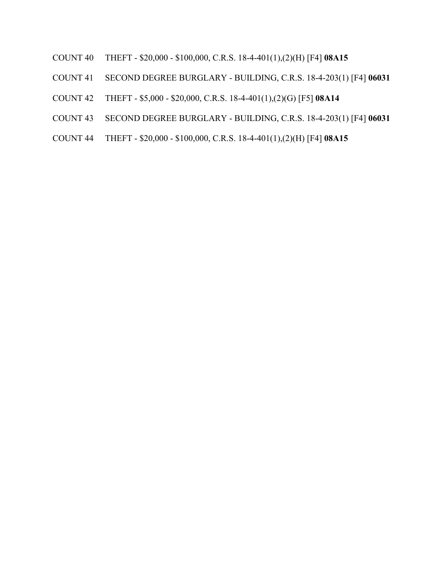- COUNT 40 THEFT \$20,000 \$100,000, C.R.S. 18-4-401(1),(2)(H) [F4] **08A15**
- COUNT 41 SECOND DEGREE BURGLARY BUILDING, C.R.S. 18-4-203(1) [F4] **06031**
- COUNT 42 THEFT \$5,000 \$20,000, C.R.S. 18-4-401(1),(2)(G) [F5] **08A14**
- COUNT 43 SECOND DEGREE BURGLARY BUILDING, C.R.S. 18-4-203(1) [F4] **06031**
- COUNT 44 THEFT \$20,000 \$100,000, C.R.S. 18-4-401(1),(2)(H) [F4] **08A15**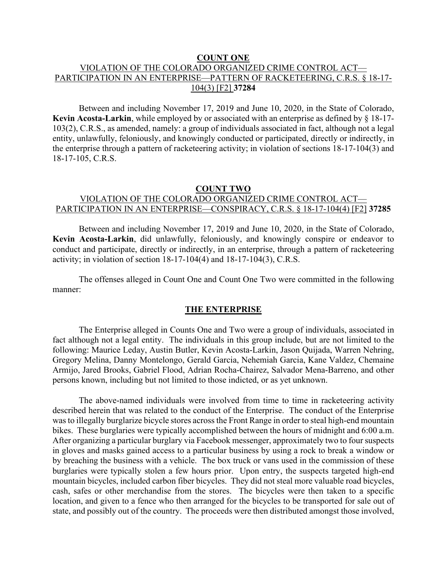#### **COUNT ONE**

# VIOLATION OF THE COLORADO ORGANIZED CRIME CONTROL ACT— PARTICIPATION IN AN ENTERPRISE—PATTERN OF RACKETEERING, C.R.S. § 18-17- 104(3) [F2] **37284**

Between and including November 17, 2019 and June 10, 2020, in the State of Colorado, **Kevin Acosta-Larkin**, while employed by or associated with an enterprise as defined by § 18-17- 103(2), C.R.S., as amended, namely: a group of individuals associated in fact, although not a legal entity, unlawfully, feloniously, and knowingly conducted or participated, directly or indirectly, in the enterprise through a pattern of racketeering activity; in violation of sections 18-17-104(3) and 18-17-105, C.R.S.

## **COUNT TWO** VIOLATION OF THE COLORADO ORGANIZED CRIME CONTROL ACT— PARTICIPATION IN AN ENTERPRISE—CONSPIRACY, C.R.S. § 18-17-104(4) [F2] **37285**

Between and including November 17, 2019 and June 10, 2020, in the State of Colorado, **Kevin Acosta-Larkin**, did unlawfully, feloniously, and knowingly conspire or endeavor to conduct and participate, directly or indirectly, in an enterprise, through a pattern of racketeering activity; in violation of section 18-17-104(4) and 18-17-104(3), C.R.S.

The offenses alleged in Count One and Count One Two were committed in the following manner:

## **THE ENTERPRISE**

The Enterprise alleged in Counts One and Two were a group of individuals, associated in fact although not a legal entity. The individuals in this group include, but are not limited to the following: Maurice Leday, Austin Butler, Kevin Acosta-Larkin, Jason Quijada, Warren Nehring, Gregory Melina, Danny Montelongo, Gerald Garcia, Nehemiah Garcia, Kane Valdez, Chemaine Armijo, Jared Brooks, Gabriel Flood, Adrian Rocha-Chairez, Salvador Mena-Barreno, and other persons known, including but not limited to those indicted, or as yet unknown.

The above-named individuals were involved from time to time in racketeering activity described herein that was related to the conduct of the Enterprise. The conduct of the Enterprise was to illegally burglarize bicycle stores across the Front Range in order to steal high-end mountain bikes. These burglaries were typically accomplished between the hours of midnight and 6:00 a.m. After organizing a particular burglary via Facebook messenger, approximately two to four suspects in gloves and masks gained access to a particular business by using a rock to break a window or by breaching the business with a vehicle. The box truck or vans used in the commission of these burglaries were typically stolen a few hours prior. Upon entry, the suspects targeted high-end mountain bicycles, included carbon fiber bicycles. They did not steal more valuable road bicycles, cash, safes or other merchandise from the stores. The bicycles were then taken to a specific location, and given to a fence who then arranged for the bicycles to be transported for sale out of state, and possibly out of the country. The proceeds were then distributed amongst those involved,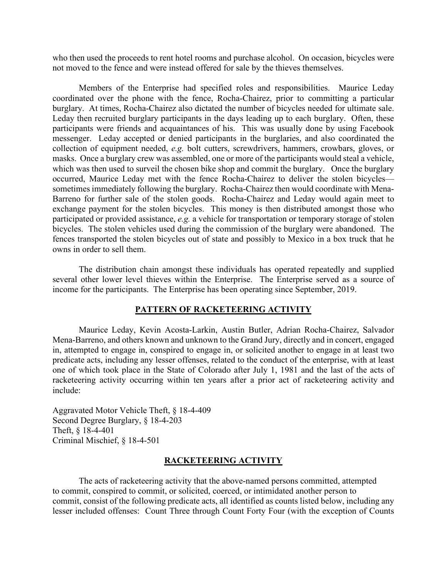who then used the proceeds to rent hotel rooms and purchase alcohol. On occasion, bicycles were not moved to the fence and were instead offered for sale by the thieves themselves.

Members of the Enterprise had specified roles and responsibilities. Maurice Leday coordinated over the phone with the fence, Rocha-Chairez, prior to committing a particular burglary. At times, Rocha-Chairez also dictated the number of bicycles needed for ultimate sale. Leday then recruited burglary participants in the days leading up to each burglary. Often, these participants were friends and acquaintances of his. This was usually done by using Facebook messenger. Leday accepted or denied participants in the burglaries, and also coordinated the collection of equipment needed, *e.g.* bolt cutters, screwdrivers, hammers, crowbars, gloves, or masks. Once a burglary crew was assembled, one or more of the participants would steal a vehicle, which was then used to surveil the chosen bike shop and commit the burglary. Once the burglary occurred, Maurice Leday met with the fence Rocha-Chairez to deliver the stolen bicycles sometimes immediately following the burglary. Rocha-Chairez then would coordinate with Mena-Barreno for further sale of the stolen goods. Rocha-Chairez and Leday would again meet to exchange payment for the stolen bicycles. This money is then distributed amongst those who participated or provided assistance, *e.g.* a vehicle for transportation or temporary storage of stolen bicycles. The stolen vehicles used during the commission of the burglary were abandoned. The fences transported the stolen bicycles out of state and possibly to Mexico in a box truck that he owns in order to sell them.

The distribution chain amongst these individuals has operated repeatedly and supplied several other lower level thieves within the Enterprise. The Enterprise served as a source of income for the participants. The Enterprise has been operating since September, 2019.

#### **PATTERN OF RACKETEERING ACTIVITY**

Maurice Leday, Kevin Acosta-Larkin, Austin Butler, Adrian Rocha-Chairez, Salvador Mena-Barreno, and others known and unknown to the Grand Jury, directly and in concert, engaged in, attempted to engage in, conspired to engage in, or solicited another to engage in at least two predicate acts, including any lesser offenses, related to the conduct of the enterprise, with at least one of which took place in the State of Colorado after July 1, 1981 and the last of the acts of racketeering activity occurring within ten years after a prior act of racketeering activity and include:

Aggravated Motor Vehicle Theft, § 18-4-409 Second Degree Burglary, § 18-4-203 Theft, § 18-4-401 Criminal Mischief, § 18-4-501

#### **RACKETEERING ACTIVITY**

The acts of racketeering activity that the above-named persons committed, attempted to commit, conspired to commit, or solicited, coerced, or intimidated another person to commit, consist of the following predicate acts, all identified as counts listed below, including any lesser included offenses: Count Three through Count Forty Four (with the exception of Counts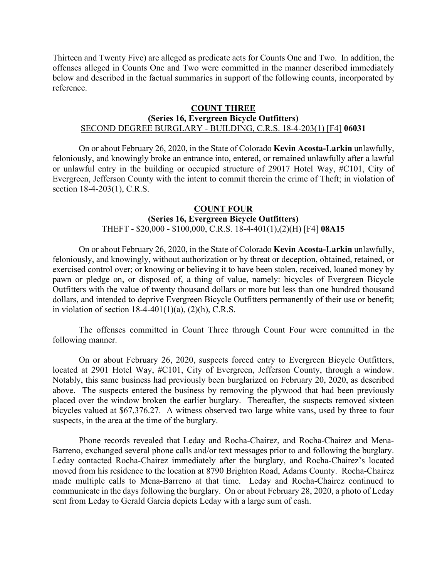Thirteen and Twenty Five) are alleged as predicate acts for Counts One and Two. In addition, the offenses alleged in Counts One and Two were committed in the manner described immediately below and described in the factual summaries in support of the following counts, incorporated by reference.

#### **COUNT THREE**

### **(Series 16, Evergreen Bicycle Outfitters)**

## SECOND DEGREE BURGLARY - BUILDING, C.R.S. 18-4-203(1) [F4] **06031**

On or about February 26, 2020, in the State of Colorado **Kevin Acosta-Larkin** unlawfully, feloniously, and knowingly broke an entrance into, entered, or remained unlawfully after a lawful or unlawful entry in the building or occupied structure of 29017 Hotel Way, #C101, City of Evergreen, Jefferson County with the intent to commit therein the crime of Theft; in violation of section 18-4-203(1), C.R.S.

#### **COUNT FOUR (Series 16, Evergreen Bicycle Outfitters)** THEFT - \$20,000 - \$100,000, C.R.S. 18-4-401(1),(2)(H) [F4] **08A15**

On or about February 26, 2020, in the State of Colorado **Kevin Acosta-Larkin** unlawfully, feloniously, and knowingly, without authorization or by threat or deception, obtained, retained, or exercised control over; or knowing or believing it to have been stolen, received, loaned money by pawn or pledge on, or disposed of, a thing of value, namely: bicycles of Evergreen Bicycle Outfitters with the value of twenty thousand dollars or more but less than one hundred thousand dollars, and intended to deprive Evergreen Bicycle Outfitters permanently of their use or benefit; in violation of section  $18-4-401(1)(a)$ ,  $(2)(h)$ , C.R.S.

The offenses committed in Count Three through Count Four were committed in the following manner.

On or about February 26, 2020, suspects forced entry to Evergreen Bicycle Outfitters, located at 2901 Hotel Way, #C101, City of Evergreen, Jefferson County, through a window. Notably, this same business had previously been burglarized on February 20, 2020, as described above. The suspects entered the business by removing the plywood that had been previously placed over the window broken the earlier burglary. Thereafter, the suspects removed sixteen bicycles valued at \$67,376.27. A witness observed two large white vans, used by three to four suspects, in the area at the time of the burglary.

Phone records revealed that Leday and Rocha-Chairez, and Rocha-Chairez and Mena-Barreno, exchanged several phone calls and/or text messages prior to and following the burglary. Leday contacted Rocha-Chairez immediately after the burglary, and Rocha-Chairez's located moved from his residence to the location at 8790 Brighton Road, Adams County. Rocha-Chairez made multiple calls to Mena-Barreno at that time. Leday and Rocha-Chairez continued to communicate in the days following the burglary. On or about February 28, 2020, a photo of Leday sent from Leday to Gerald Garcia depicts Leday with a large sum of cash.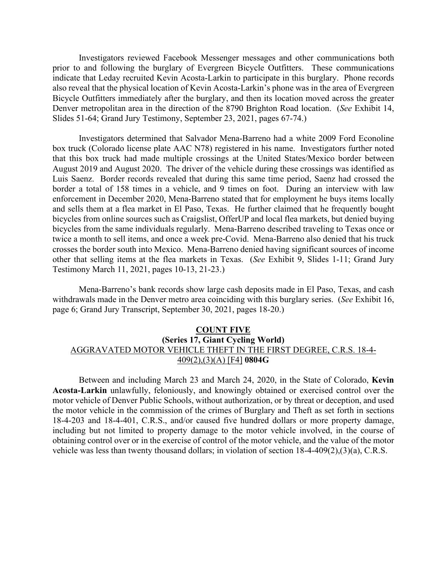Investigators reviewed Facebook Messenger messages and other communications both prior to and following the burglary of Evergreen Bicycle Outfitters. These communications indicate that Leday recruited Kevin Acosta-Larkin to participate in this burglary. Phone records also reveal that the physical location of Kevin Acosta-Larkin's phone was in the area of Evergreen Bicycle Outfitters immediately after the burglary, and then its location moved across the greater Denver metropolitan area in the direction of the 8790 Brighton Road location. (*See* Exhibit 14, Slides 51-64; Grand Jury Testimony, September 23, 2021, pages 67-74.)

Investigators determined that Salvador Mena-Barreno had a white 2009 Ford Econoline box truck (Colorado license plate AAC N78) registered in his name. Investigators further noted that this box truck had made multiple crossings at the United States/Mexico border between August 2019 and August 2020. The driver of the vehicle during these crossings was identified as Luis Saenz. Border records revealed that during this same time period, Saenz had crossed the border a total of 158 times in a vehicle, and 9 times on foot. During an interview with law enforcement in December 2020, Mena-Barreno stated that for employment he buys items locally and sells them at a flea market in El Paso, Texas. He further claimed that he frequently bought bicycles from online sources such as Craigslist, OfferUP and local flea markets, but denied buying bicycles from the same individuals regularly. Mena-Barreno described traveling to Texas once or twice a month to sell items, and once a week pre-Covid. Mena-Barreno also denied that his truck crosses the border south into Mexico. Mena-Barreno denied having significant sources of income other that selling items at the flea markets in Texas. (*See* Exhibit 9, Slides 1-11; Grand Jury Testimony March 11, 2021, pages 10-13, 21-23.)

Mena-Barreno's bank records show large cash deposits made in El Paso, Texas, and cash withdrawals made in the Denver metro area coinciding with this burglary series. (*See* Exhibit 16, page 6; Grand Jury Transcript, September 30, 2021, pages 18-20.)

## **COUNT FIVE (Series 17, Giant Cycling World)** AGGRAVATED MOTOR VEHICLE THEFT IN THE FIRST DEGREE, C.R.S. 18-4- 409(2),(3)(A) [F4] **0804G**

Between and including March 23 and March 24, 2020, in the State of Colorado, **Kevin Acosta-Larkin** unlawfully, feloniously, and knowingly obtained or exercised control over the motor vehicle of Denver Public Schools, without authorization, or by threat or deception, and used the motor vehicle in the commission of the crimes of Burglary and Theft as set forth in sections 18-4-203 and 18-4-401, C.R.S., and/or caused five hundred dollars or more property damage, including but not limited to property damage to the motor vehicle involved, in the course of obtaining control over or in the exercise of control of the motor vehicle, and the value of the motor vehicle was less than twenty thousand dollars; in violation of section 18-4-409(2),(3)(a), C.R.S.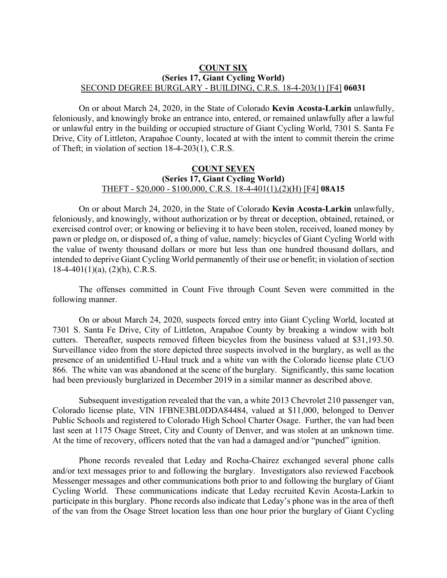### **COUNT SIX (Series 17, Giant Cycling World)** SECOND DEGREE BURGLARY - BUILDING, C.R.S. 18-4-203(1) [F4] **06031**

On or about March 24, 2020, in the State of Colorado **Kevin Acosta-Larkin** unlawfully, feloniously, and knowingly broke an entrance into, entered, or remained unlawfully after a lawful or unlawful entry in the building or occupied structure of Giant Cycling World, 7301 S. Santa Fe Drive, City of Littleton, Arapahoe County, located at with the intent to commit therein the crime of Theft; in violation of section 18-4-203(1), C.R.S.

#### **COUNT SEVEN (Series 17, Giant Cycling World)** THEFT - \$20,000 - \$100,000, C.R.S. 18-4-401(1),(2)(H) [F4] **08A15**

On or about March 24, 2020, in the State of Colorado **Kevin Acosta-Larkin** unlawfully, feloniously, and knowingly, without authorization or by threat or deception, obtained, retained, or exercised control over; or knowing or believing it to have been stolen, received, loaned money by pawn or pledge on, or disposed of, a thing of value, namely: bicycles of Giant Cycling World with the value of twenty thousand dollars or more but less than one hundred thousand dollars, and intended to deprive Giant Cycling World permanently of their use or benefit; in violation of section  $18-4-401(1)(a)$ ,  $(2)(h)$ , C.R.S.

The offenses committed in Count Five through Count Seven were committed in the following manner.

On or about March 24, 2020, suspects forced entry into Giant Cycling World, located at 7301 S. Santa Fe Drive, City of Littleton, Arapahoe County by breaking a window with bolt cutters. Thereafter, suspects removed fifteen bicycles from the business valued at \$31,193.50. Surveillance video from the store depicted three suspects involved in the burglary, as well as the presence of an unidentified U-Haul truck and a white van with the Colorado license plate CUO 866. The white van was abandoned at the scene of the burglary. Significantly, this same location had been previously burglarized in December 2019 in a similar manner as described above.

Subsequent investigation revealed that the van, a white 2013 Chevrolet 210 passenger van, Colorado license plate, VIN 1FBNE3BL0DDA84484, valued at \$11,000, belonged to Denver Public Schools and registered to Colorado High School Charter Osage. Further, the van had been last seen at 1175 Osage Street, City and County of Denver, and was stolen at an unknown time. At the time of recovery, officers noted that the van had a damaged and/or "punched" ignition.

Phone records revealed that Leday and Rocha-Chairez exchanged several phone calls and/or text messages prior to and following the burglary. Investigators also reviewed Facebook Messenger messages and other communications both prior to and following the burglary of Giant Cycling World. These communications indicate that Leday recruited Kevin Acosta-Larkin to participate in this burglary. Phone records also indicate that Leday's phone was in the area of theft of the van from the Osage Street location less than one hour prior the burglary of Giant Cycling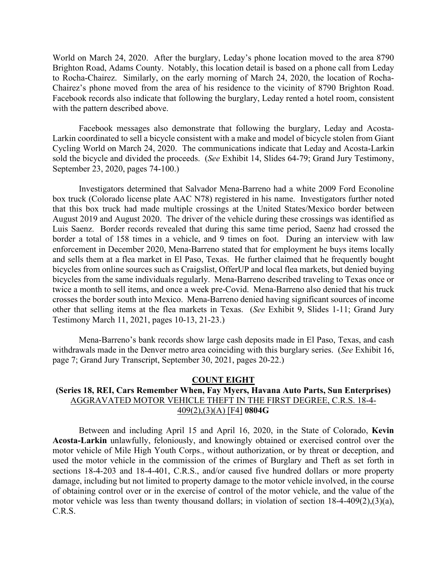World on March 24, 2020. After the burglary, Leday's phone location moved to the area 8790 Brighton Road, Adams County. Notably, this location detail is based on a phone call from Leday to Rocha-Chairez. Similarly, on the early morning of March 24, 2020, the location of Rocha-Chairez's phone moved from the area of his residence to the vicinity of 8790 Brighton Road. Facebook records also indicate that following the burglary, Leday rented a hotel room, consistent with the pattern described above.

Facebook messages also demonstrate that following the burglary, Leday and Acosta-Larkin coordinated to sell a bicycle consistent with a make and model of bicycle stolen from Giant Cycling World on March 24, 2020. The communications indicate that Leday and Acosta-Larkin sold the bicycle and divided the proceeds. (*See* Exhibit 14, Slides 64-79; Grand Jury Testimony, September 23, 2020, pages 74-100.)

Investigators determined that Salvador Mena-Barreno had a white 2009 Ford Econoline box truck (Colorado license plate AAC N78) registered in his name. Investigators further noted that this box truck had made multiple crossings at the United States/Mexico border between August 2019 and August 2020. The driver of the vehicle during these crossings was identified as Luis Saenz. Border records revealed that during this same time period, Saenz had crossed the border a total of 158 times in a vehicle, and 9 times on foot. During an interview with law enforcement in December 2020, Mena-Barreno stated that for employment he buys items locally and sells them at a flea market in El Paso, Texas. He further claimed that he frequently bought bicycles from online sources such as Craigslist, OfferUP and local flea markets, but denied buying bicycles from the same individuals regularly. Mena-Barreno described traveling to Texas once or twice a month to sell items, and once a week pre-Covid. Mena-Barreno also denied that his truck crosses the border south into Mexico. Mena-Barreno denied having significant sources of income other that selling items at the flea markets in Texas. (*See* Exhibit 9, Slides 1-11; Grand Jury Testimony March 11, 2021, pages 10-13, 21-23.)

Mena-Barreno's bank records show large cash deposits made in El Paso, Texas, and cash withdrawals made in the Denver metro area coinciding with this burglary series. (*See* Exhibit 16, page 7; Grand Jury Transcript, September 30, 2021, pages 20-22.)

## **COUNT EIGHT (Series 18, REI, Cars Remember When, Fay Myers, Havana Auto Parts, Sun Enterprises)** AGGRAVATED MOTOR VEHICLE THEFT IN THE FIRST DEGREE, C.R.S. 18-4- 409(2),(3)(A) [F4] **0804G**

Between and including April 15 and April 16, 2020, in the State of Colorado, **Kevin Acosta-Larkin** unlawfully, feloniously, and knowingly obtained or exercised control over the motor vehicle of Mile High Youth Corps., without authorization, or by threat or deception, and used the motor vehicle in the commission of the crimes of Burglary and Theft as set forth in sections 18-4-203 and 18-4-401, C.R.S., and/or caused five hundred dollars or more property damage, including but not limited to property damage to the motor vehicle involved, in the course of obtaining control over or in the exercise of control of the motor vehicle, and the value of the motor vehicle was less than twenty thousand dollars; in violation of section 18-4-409(2),(3)(a), C.R.S.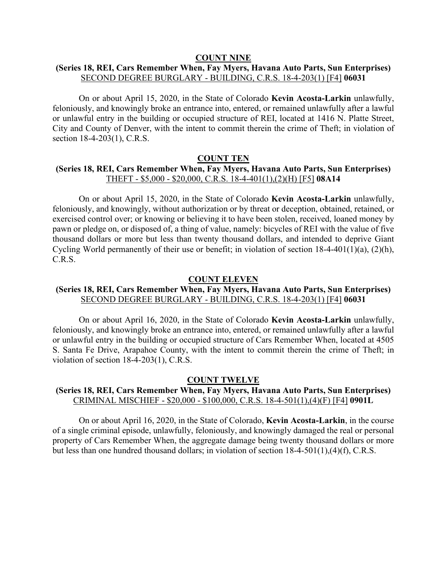#### **COUNT NINE**

## **(Series 18, REI, Cars Remember When, Fay Myers, Havana Auto Parts, Sun Enterprises)** SECOND DEGREE BURGLARY - BUILDING, C.R.S. 18-4-203(1) [F4] **06031**

On or about April 15, 2020, in the State of Colorado **Kevin Acosta-Larkin** unlawfully, feloniously, and knowingly broke an entrance into, entered, or remained unlawfully after a lawful or unlawful entry in the building or occupied structure of REI, located at 1416 N. Platte Street, City and County of Denver, with the intent to commit therein the crime of Theft; in violation of section 18-4-203(1), C.R.S.

#### **COUNT TEN**

## **(Series 18, REI, Cars Remember When, Fay Myers, Havana Auto Parts, Sun Enterprises)** THEFT - \$5,000 - \$20,000, C.R.S. 18-4-401(1),(2)(H) [F5] **08A14**

On or about April 15, 2020, in the State of Colorado **Kevin Acosta-Larkin** unlawfully, feloniously, and knowingly, without authorization or by threat or deception, obtained, retained, or exercised control over; or knowing or believing it to have been stolen, received, loaned money by pawn or pledge on, or disposed of, a thing of value, namely: bicycles of REI with the value of five thousand dollars or more but less than twenty thousand dollars, and intended to deprive Giant Cycling World permanently of their use or benefit; in violation of section 18-4-401(1)(a), (2)(h), C.R.S.

#### **COUNT ELEVEN**

## **(Series 18, REI, Cars Remember When, Fay Myers, Havana Auto Parts, Sun Enterprises)** SECOND DEGREE BURGLARY - BUILDING, C.R.S. 18-4-203(1) [F4] **06031**

On or about April 16, 2020, in the State of Colorado **Kevin Acosta-Larkin** unlawfully, feloniously, and knowingly broke an entrance into, entered, or remained unlawfully after a lawful or unlawful entry in the building or occupied structure of Cars Remember When, located at 4505 S. Santa Fe Drive, Arapahoe County, with the intent to commit therein the crime of Theft; in violation of section 18-4-203(1), C.R.S.

#### **COUNT TWELVE**

## **(Series 18, REI, Cars Remember When, Fay Myers, Havana Auto Parts, Sun Enterprises)** CRIMINAL MISCHIEF - \$20,000 - \$100,000, C.R.S. 18-4-501(1),(4)(F) [F4] **0901L**

On or about April 16, 2020, in the State of Colorado, **Kevin Acosta-Larkin**, in the course of a single criminal episode, unlawfully, feloniously, and knowingly damaged the real or personal property of Cars Remember When, the aggregate damage being twenty thousand dollars or more but less than one hundred thousand dollars; in violation of section 18-4-501(1),(4)(f), C.R.S.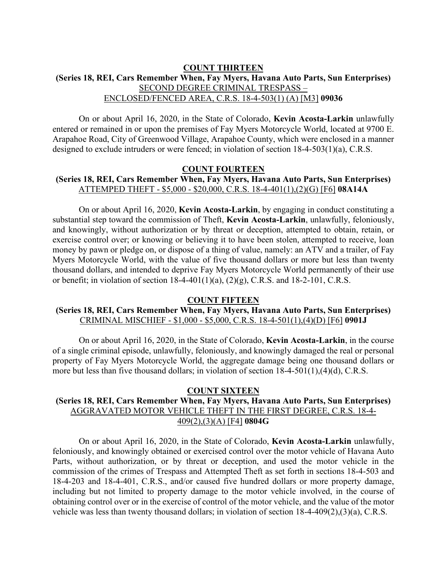## **COUNT THIRTEEN (Series 18, REI, Cars Remember When, Fay Myers, Havana Auto Parts, Sun Enterprises)** SECOND DEGREE CRIMINAL TRESPASS – ENCLOSED/FENCED AREA, C.R.S. 18-4-503(1) (A) [M3] **09036**

On or about April 16, 2020, in the State of Colorado, **Kevin Acosta-Larkin** unlawfully entered or remained in or upon the premises of Fay Myers Motorcycle World, located at 9700 E. Arapahoe Road, City of Greenwood Village, Arapahoe County, which were enclosed in a manner designed to exclude intruders or were fenced; in violation of section 18-4-503(1)(a), C.R.S.

#### **COUNT FOURTEEN**

## **(Series 18, REI, Cars Remember When, Fay Myers, Havana Auto Parts, Sun Enterprises)** ATTEMPED THEFT - \$5,000 - \$20,000, C.R.S. 18-4-401(1),(2)(G) [F6] **08A14A**

On or about April 16, 2020, **Kevin Acosta-Larkin**, by engaging in conduct constituting a substantial step toward the commission of Theft, **Kevin Acosta-Larkin**, unlawfully, feloniously, and knowingly, without authorization or by threat or deception, attempted to obtain, retain, or exercise control over; or knowing or believing it to have been stolen, attempted to receive, loan money by pawn or pledge on, or dispose of a thing of value, namely: an ATV and a trailer, of Fay Myers Motorcycle World, with the value of five thousand dollars or more but less than twenty thousand dollars, and intended to deprive Fay Myers Motorcycle World permanently of their use or benefit; in violation of section  $18-4-401(1)(a)$ ,  $(2)(g)$ , C.R.S. and  $18-2-101$ , C.R.S.

#### **COUNT FIFTEEN**

## **(Series 18, REI, Cars Remember When, Fay Myers, Havana Auto Parts, Sun Enterprises)** CRIMINAL MISCHIEF - \$1,000 - \$5,000, C.R.S. 18-4-501(1),(4)(D) [F6] **0901J**

On or about April 16, 2020, in the State of Colorado, **Kevin Acosta-Larkin**, in the course of a single criminal episode, unlawfully, feloniously, and knowingly damaged the real or personal property of Fay Myers Motorcycle World, the aggregate damage being one thousand dollars or more but less than five thousand dollars; in violation of section 18-4-501(1),(4)(d), C.R.S.

## **COUNT SIXTEEN**

# **(Series 18, REI, Cars Remember When, Fay Myers, Havana Auto Parts, Sun Enterprises)** AGGRAVATED MOTOR VEHICLE THEFT IN THE FIRST DEGREE, C.R.S. 18-4- 409(2),(3)(A) [F4] **0804G**

On or about April 16, 2020, in the State of Colorado, **Kevin Acosta-Larkin** unlawfully, feloniously, and knowingly obtained or exercised control over the motor vehicle of Havana Auto Parts, without authorization, or by threat or deception, and used the motor vehicle in the commission of the crimes of Trespass and Attempted Theft as set forth in sections 18-4-503 and 18-4-203 and 18-4-401, C.R.S., and/or caused five hundred dollars or more property damage, including but not limited to property damage to the motor vehicle involved, in the course of obtaining control over or in the exercise of control of the motor vehicle, and the value of the motor vehicle was less than twenty thousand dollars; in violation of section 18-4-409(2),(3)(a), C.R.S.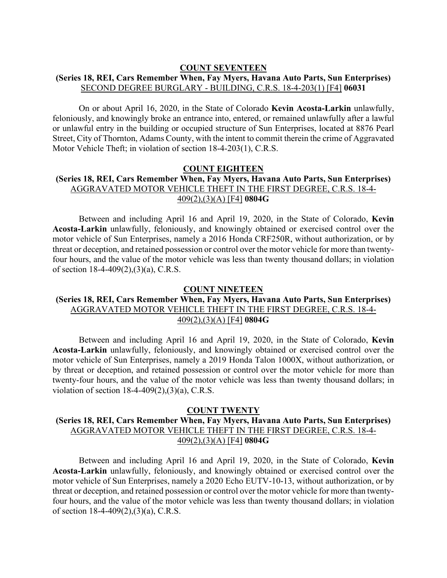#### **COUNT SEVENTEEN**

## **(Series 18, REI, Cars Remember When, Fay Myers, Havana Auto Parts, Sun Enterprises)** SECOND DEGREE BURGLARY - BUILDING, C.R.S. 18-4-203(1) [F4] **06031**

On or about April 16, 2020, in the State of Colorado **Kevin Acosta-Larkin** unlawfully, feloniously, and knowingly broke an entrance into, entered, or remained unlawfully after a lawful or unlawful entry in the building or occupied structure of Sun Enterprises, located at 8876 Pearl Street, City of Thornton, Adams County, with the intent to commit therein the crime of Aggravated Motor Vehicle Theft; in violation of section 18-4-203(1), C.R.S.

#### **COUNT EIGHTEEN**

## **(Series 18, REI, Cars Remember When, Fay Myers, Havana Auto Parts, Sun Enterprises)** AGGRAVATED MOTOR VEHICLE THEFT IN THE FIRST DEGREE, C.R.S. 18-4- 409(2),(3)(A) [F4] **0804G**

Between and including April 16 and April 19, 2020, in the State of Colorado, **Kevin Acosta-Larkin** unlawfully, feloniously, and knowingly obtained or exercised control over the motor vehicle of Sun Enterprises, namely a 2016 Honda CRF250R, without authorization, or by threat or deception, and retained possession or control over the motor vehicle for more than twentyfour hours, and the value of the motor vehicle was less than twenty thousand dollars; in violation of section 18-4-409(2),(3)(a), C.R.S.

#### **COUNT NINETEEN**

## **(Series 18, REI, Cars Remember When, Fay Myers, Havana Auto Parts, Sun Enterprises)** AGGRAVATED MOTOR VEHICLE THEFT IN THE FIRST DEGREE, C.R.S. 18-4- 409(2),(3)(A) [F4] **0804G**

Between and including April 16 and April 19, 2020, in the State of Colorado, **Kevin Acosta-Larkin** unlawfully, feloniously, and knowingly obtained or exercised control over the motor vehicle of Sun Enterprises, namely a 2019 Honda Talon 1000X, without authorization, or by threat or deception, and retained possession or control over the motor vehicle for more than twenty-four hours, and the value of the motor vehicle was less than twenty thousand dollars; in violation of section 18-4-409(2),(3)(a), C.R.S.

#### **COUNT TWENTY**

# **(Series 18, REI, Cars Remember When, Fay Myers, Havana Auto Parts, Sun Enterprises)** AGGRAVATED MOTOR VEHICLE THEFT IN THE FIRST DEGREE, C.R.S. 18-4- 409(2),(3)(A) [F4] **0804G**

Between and including April 16 and April 19, 2020, in the State of Colorado, **Kevin Acosta-Larkin** unlawfully, feloniously, and knowingly obtained or exercised control over the motor vehicle of Sun Enterprises, namely a 2020 Echo EUTV-10-13, without authorization, or by threat or deception, and retained possession or control over the motor vehicle for more than twentyfour hours, and the value of the motor vehicle was less than twenty thousand dollars; in violation of section 18-4-409(2),(3)(a), C.R.S.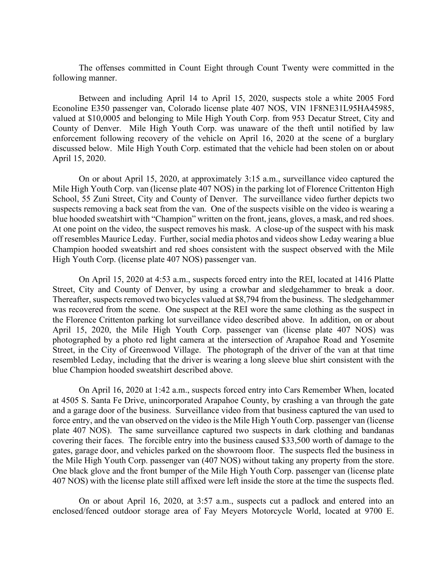The offenses committed in Count Eight through Count Twenty were committed in the following manner.

Between and including April 14 to April 15, 2020, suspects stole a white 2005 Ford Econoline E350 passenger van, Colorado license plate 407 NOS, VIN 1F8NE31L95HA45985, valued at \$10,0005 and belonging to Mile High Youth Corp. from 953 Decatur Street, City and County of Denver. Mile High Youth Corp. was unaware of the theft until notified by law enforcement following recovery of the vehicle on April 16, 2020 at the scene of a burglary discussed below. Mile High Youth Corp. estimated that the vehicle had been stolen on or about April 15, 2020.

On or about April 15, 2020, at approximately 3:15 a.m., surveillance video captured the Mile High Youth Corp. van (license plate 407 NOS) in the parking lot of Florence Crittenton High School, 55 Zuni Street, City and County of Denver. The surveillance video further depicts two suspects removing a back seat from the van. One of the suspects visible on the video is wearing a blue hooded sweatshirt with "Champion" written on the front, jeans, gloves, a mask, and red shoes. At one point on the video, the suspect removes his mask. A close-up of the suspect with his mask off resembles Maurice Leday. Further, social media photos and videos show Leday wearing a blue Champion hooded sweatshirt and red shoes consistent with the suspect observed with the Mile High Youth Corp. (license plate 407 NOS) passenger van.

On April 15, 2020 at 4:53 a.m., suspects forced entry into the REI, located at 1416 Platte Street, City and County of Denver, by using a crowbar and sledgehammer to break a door. Thereafter, suspects removed two bicycles valued at \$8,794 from the business. The sledgehammer was recovered from the scene. One suspect at the REI wore the same clothing as the suspect in the Florence Crittenton parking lot surveillance video described above. In addition, on or about April 15, 2020, the Mile High Youth Corp. passenger van (license plate 407 NOS) was photographed by a photo red light camera at the intersection of Arapahoe Road and Yosemite Street, in the City of Greenwood Village. The photograph of the driver of the van at that time resembled Leday, including that the driver is wearing a long sleeve blue shirt consistent with the blue Champion hooded sweatshirt described above.

On April 16, 2020 at 1:42 a.m., suspects forced entry into Cars Remember When, located at 4505 S. Santa Fe Drive, unincorporated Arapahoe County, by crashing a van through the gate and a garage door of the business. Surveillance video from that business captured the van used to force entry, and the van observed on the video is the Mile High Youth Corp. passenger van (license plate 407 NOS). The same surveillance captured two suspects in dark clothing and bandanas covering their faces. The forcible entry into the business caused \$33,500 worth of damage to the gates, garage door, and vehicles parked on the showroom floor. The suspects fled the business in the Mile High Youth Corp. passenger van (407 NOS) without taking any property from the store. One black glove and the front bumper of the Mile High Youth Corp. passenger van (license plate 407 NOS) with the license plate still affixed were left inside the store at the time the suspects fled.

On or about April 16, 2020, at 3:57 a.m., suspects cut a padlock and entered into an enclosed/fenced outdoor storage area of Fay Meyers Motorcycle World, located at 9700 E.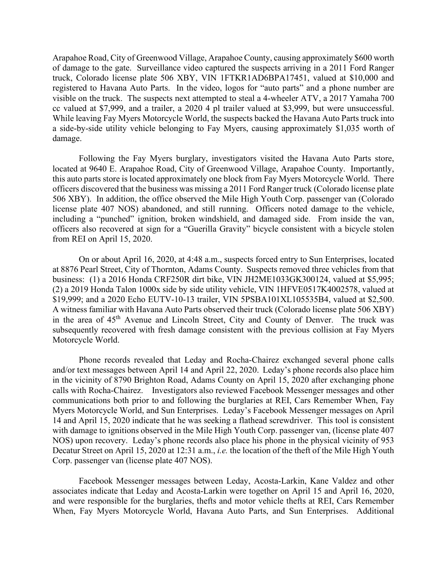Arapahoe Road, City of Greenwood Village, Arapahoe County, causing approximately \$600 worth of damage to the gate. Surveillance video captured the suspects arriving in a 2011 Ford Ranger truck, Colorado license plate 506 XBY, VIN 1FTKR1AD6BPA17451, valued at \$10,000 and registered to Havana Auto Parts. In the video, logos for "auto parts" and a phone number are visible on the truck. The suspects next attempted to steal a 4-wheeler ATV, a 2017 Yamaha 700 cc valued at \$7,999, and a trailer, a 2020 4 pl trailer valued at \$3,999, but were unsuccessful. While leaving Fay Myers Motorcycle World, the suspects backed the Havana Auto Parts truck into a side-by-side utility vehicle belonging to Fay Myers, causing approximately \$1,035 worth of damage.

Following the Fay Myers burglary, investigators visited the Havana Auto Parts store, located at 9640 E. Arapahoe Road, City of Greenwood Village, Arapahoe County. Importantly, this auto parts store is located approximately one block from Fay Myers Motorcycle World. There officers discovered that the business was missing a 2011 Ford Ranger truck (Colorado license plate 506 XBY). In addition, the office observed the Mile High Youth Corp. passenger van (Colorado license plate 407 NOS) abandoned, and still running. Officers noted damage to the vehicle, including a "punched" ignition, broken windshield, and damaged side. From inside the van, officers also recovered at sign for a "Guerilla Gravity" bicycle consistent with a bicycle stolen from REI on April 15, 2020.

On or about April 16, 2020, at 4:48 a.m., suspects forced entry to Sun Enterprises, located at 8876 Pearl Street, City of Thornton, Adams County. Suspects removed three vehicles from that business: (1) a 2016 Honda CRF250R dirt bike, VIN JH2ME1033GK300124, valued at \$5,995; (2) a 2019 Honda Talon 1000x side by side utility vehicle, VIN 1HFVE0517K4002578, valued at \$19,999; and a 2020 Echo EUTV-10-13 trailer, VIN 5PSBA101XL105535B4, valued at \$2,500. A witness familiar with Havana Auto Parts observed their truck (Colorado license plate 506 XBY) in the area of 45<sup>th</sup> Avenue and Lincoln Street, City and County of Denver. The truck was subsequently recovered with fresh damage consistent with the previous collision at Fay Myers Motorcycle World.

Phone records revealed that Leday and Rocha-Chairez exchanged several phone calls and/or text messages between April 14 and April 22, 2020. Leday's phone records also place him in the vicinity of 8790 Brighton Road, Adams County on April 15, 2020 after exchanging phone calls with Rocha-Chairez. Investigators also reviewed Facebook Messenger messages and other communications both prior to and following the burglaries at REI, Cars Remember When, Fay Myers Motorcycle World, and Sun Enterprises. Leday's Facebook Messenger messages on April 14 and April 15, 2020 indicate that he was seeking a flathead screwdriver. This tool is consistent with damage to ignitions observed in the Mile High Youth Corp. passenger van, (license plate 407 NOS) upon recovery. Leday's phone records also place his phone in the physical vicinity of 953 Decatur Street on April 15, 2020 at 12:31 a.m., *i.e.* the location of the theft of the Mile High Youth Corp. passenger van (license plate 407 NOS).

Facebook Messenger messages between Leday, Acosta-Larkin, Kane Valdez and other associates indicate that Leday and Acosta-Larkin were together on April 15 and April 16, 2020, and were responsible for the burglaries, thefts and motor vehicle thefts at REI, Cars Remember When, Fay Myers Motorcycle World, Havana Auto Parts, and Sun Enterprises. Additional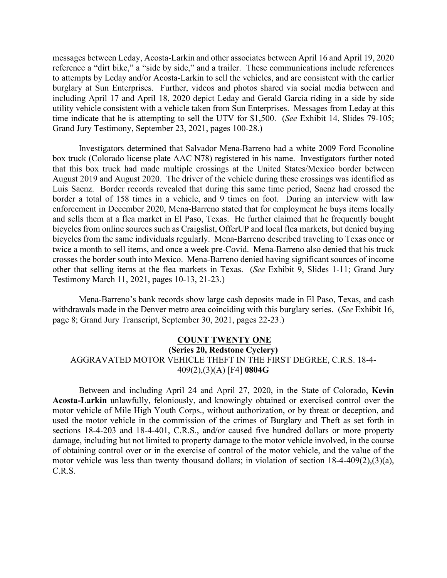messages between Leday, Acosta-Larkin and other associates between April 16 and April 19, 2020 reference a "dirt bike," a "side by side," and a trailer. These communications include references to attempts by Leday and/or Acosta-Larkin to sell the vehicles, and are consistent with the earlier burglary at Sun Enterprises. Further, videos and photos shared via social media between and including April 17 and April 18, 2020 depict Leday and Gerald Garcia riding in a side by side utility vehicle consistent with a vehicle taken from Sun Enterprises. Messages from Leday at this time indicate that he is attempting to sell the UTV for \$1,500. (*See* Exhibit 14, Slides 79-105; Grand Jury Testimony, September 23, 2021, pages 100-28.)

Investigators determined that Salvador Mena-Barreno had a white 2009 Ford Econoline box truck (Colorado license plate AAC N78) registered in his name. Investigators further noted that this box truck had made multiple crossings at the United States/Mexico border between August 2019 and August 2020. The driver of the vehicle during these crossings was identified as Luis Saenz. Border records revealed that during this same time period, Saenz had crossed the border a total of 158 times in a vehicle, and 9 times on foot. During an interview with law enforcement in December 2020, Mena-Barreno stated that for employment he buys items locally and sells them at a flea market in El Paso, Texas. He further claimed that he frequently bought bicycles from online sources such as Craigslist, OfferUP and local flea markets, but denied buying bicycles from the same individuals regularly. Mena-Barreno described traveling to Texas once or twice a month to sell items, and once a week pre-Covid. Mena-Barreno also denied that his truck crosses the border south into Mexico. Mena-Barreno denied having significant sources of income other that selling items at the flea markets in Texas. (*See* Exhibit 9, Slides 1-11; Grand Jury Testimony March 11, 2021, pages 10-13, 21-23.)

Mena-Barreno's bank records show large cash deposits made in El Paso, Texas, and cash withdrawals made in the Denver metro area coinciding with this burglary series. (*See* Exhibit 16, page 8; Grand Jury Transcript, September 30, 2021, pages 22-23.)

## **COUNT TWENTY ONE (Series 20, Redstone Cyclery)** AGGRAVATED MOTOR VEHICLE THEFT IN THE FIRST DEGREE, C.R.S. 18-4- 409(2),(3)(A) [F4] **0804G**

Between and including April 24 and April 27, 2020, in the State of Colorado, **Kevin Acosta-Larkin** unlawfully, feloniously, and knowingly obtained or exercised control over the motor vehicle of Mile High Youth Corps., without authorization, or by threat or deception, and used the motor vehicle in the commission of the crimes of Burglary and Theft as set forth in sections 18-4-203 and 18-4-401, C.R.S., and/or caused five hundred dollars or more property damage, including but not limited to property damage to the motor vehicle involved, in the course of obtaining control over or in the exercise of control of the motor vehicle, and the value of the motor vehicle was less than twenty thousand dollars; in violation of section 18-4-409(2),(3)(a), C.R.S.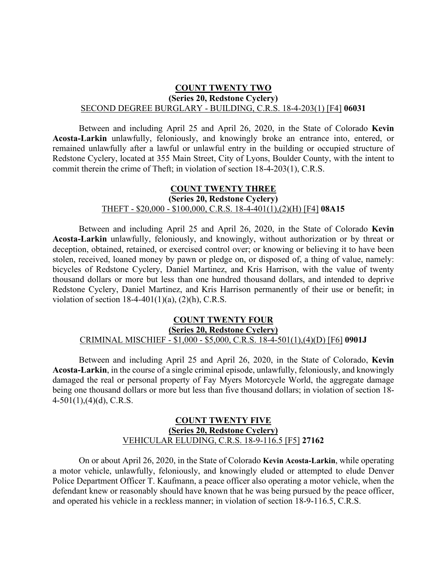## **COUNT TWENTY TWO (Series 20, Redstone Cyclery)** SECOND DEGREE BURGLARY - BUILDING, C.R.S. 18-4-203(1) [F4] **06031**

Between and including April 25 and April 26, 2020, in the State of Colorado **Kevin Acosta-Larkin** unlawfully, feloniously, and knowingly broke an entrance into, entered, or remained unlawfully after a lawful or unlawful entry in the building or occupied structure of Redstone Cyclery, located at 355 Main Street, City of Lyons, Boulder County, with the intent to commit therein the crime of Theft; in violation of section 18-4-203(1), C.R.S.

# **COUNT TWENTY THREE (Series 20, Redstone Cyclery)** THEFT - \$20,000 - \$100,000, C.R.S. 18-4-401(1),(2)(H) [F4] **08A15**

Between and including April 25 and April 26, 2020, in the State of Colorado **Kevin Acosta-Larkin** unlawfully, feloniously, and knowingly, without authorization or by threat or deception, obtained, retained, or exercised control over; or knowing or believing it to have been stolen, received, loaned money by pawn or pledge on, or disposed of, a thing of value, namely: bicycles of Redstone Cyclery, Daniel Martinez, and Kris Harrison, with the value of twenty thousand dollars or more but less than one hundred thousand dollars, and intended to deprive Redstone Cyclery, Daniel Martinez, and Kris Harrison permanently of their use or benefit; in violation of section  $18-4-401(1)(a)$ ,  $(2)(h)$ , C.R.S.

### **COUNT TWENTY FOUR (Series 20, Redstone Cyclery)** CRIMINAL MISCHIEF - \$1,000 - \$5,000, C.R.S. 18-4-501(1),(4)(D) [F6] **0901J**

Between and including April 25 and April 26, 2020, in the State of Colorado, **Kevin Acosta-Larkin**, in the course of a single criminal episode, unlawfully, feloniously, and knowingly damaged the real or personal property of Fay Myers Motorcycle World, the aggregate damage being one thousand dollars or more but less than five thousand dollars; in violation of section 18-  $4-501(1)$ , $(4)(d)$ , C.R.S.

## **COUNT TWENTY FIVE (Series 20, Redstone Cyclery)** VEHICULAR ELUDING, C.R.S. 18-9-116.5 [F5] **27162**

On or about April 26, 2020, in the State of Colorado **Kevin Acosta-Larkin**, while operating a motor vehicle, unlawfully, feloniously, and knowingly eluded or attempted to elude Denver Police Department Officer T. Kaufmann, a peace officer also operating a motor vehicle, when the defendant knew or reasonably should have known that he was being pursued by the peace officer, and operated his vehicle in a reckless manner; in violation of section 18-9-116.5, C.R.S.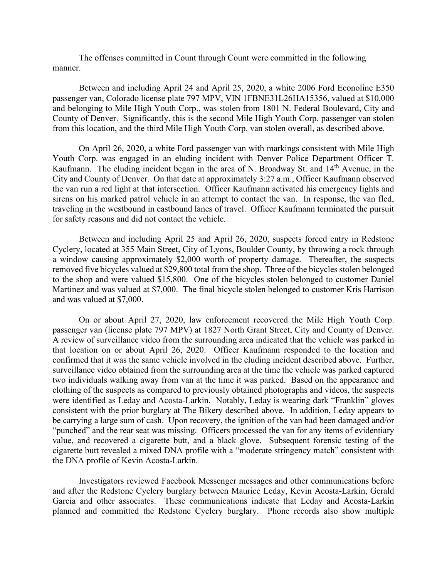The offenses committed in Count through Count were committed in the following manner.

Between and including April 24 and April 25, 2020, a white 2006 Ford Econoline E350 passenger van, Colorado license plate 797 MPV, VIN 1FBNE31L26HA15356, valued at \$10,000 and belonging to Mile High Youth Corp., was stolen from 1801 N. Federal Boulevard, City and County of Denver. Significantly, this is the second Mile High Youth Corp. passenger van stolen from this location, and the third Mile High Youth Corp. van stolen overall, as described above.

On April 26, 2020, a white Ford passenger van with markings consistent with Mile High Youth Corp. was engaged in an eluding incident with Denver Police Department Officer T. Kaufmann. The eluding incident began in the area of N. Broadway St. and 14<sup>th</sup> Avenue, in the City and County of Denver. On that date at approximately 3:27 a.m., Officer Kaufmann observed the van run a red light at that intersection. Officer Kaufmann activated his emergency lights and sirens on his marked patrol vehicle in an attempt to contact the van. In response, the van fled, traveling in the westbound in eastbound lanes of travel. Officer Kaufmann terminated the pursuit for safety reasons and did not contact the vehicle.

Between and including April 25 and April 26, 2020, suspects forced entry in Redstone Cyclery, located at 355 Main Street, City of Lyons, Boulder County, by throwing a rock through a window causing approximately \$2,000 worth of property damage. Thereafter, the suspects removed five bicycles valued at \$29,800 total from the shop. Three of the bicycles stolen belonged to the shop and were valued \$15,800. One of the bicycles stolen belonged to customer Daniel Martinez and was valued at \$7,000. The final bicycle stolen belonged to customer Kris Harrison and was valued at \$7,000.

On or about April 27, 2020, law enforcement recovered the Mile High Youth Corp. passenger van (license plate 797 MPV) at 1827 North Grant Street, City and County of Denver. A review of surveillance video from the surrounding area indicated that the vehicle was parked in that location on or about April 26, 2020. Officer Kaufmann responded to the location and confirmed that it was the same vehicle involved in the eluding incident described above. Further, surveillance video obtained from the surrounding area at the time the vehicle was parked captured two individuals walking away from van at the time it was parked. Based on the appearance and clothing of the suspects as compared to previously obtained photographs and videos, the suspects were identified as Leday and Acosta-Larkin. Notably, Leday is wearing dark "Franklin" gloves consistent with the prior burglary at The Bikery described above. In addition, Leday appears to be carrying a large sum of cash. Upon recovery, the ignition of the van had been damaged and/or "punched" and the rear seat was missing. Officers processed the van for any items of evidentiary value, and recovered a cigarette butt, and a black glove. Subsequent forensic testing of the cigarette butt revealed a mixed DNA profile with a "moderate stringency match" consistent with the DNA profile of Kevin Acosta-Larkin.

Investigators reviewed Facebook Messenger messages and other communications before and after the Redstone Cyclery burglary between Maurice Leday, Kevin Acosta-Larkin, Gerald Garcia and other associates. These communications indicate that Leday and Acosta-Larkin planned and committed the Redstone Cyclery burglary. Phone records also show multiple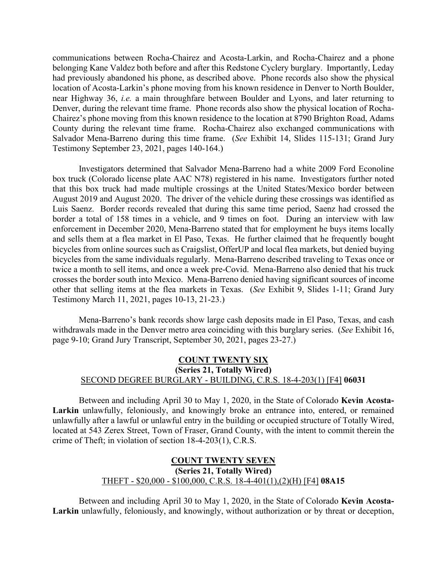communications between Rocha-Chairez and Acosta-Larkin, and Rocha-Chairez and a phone belonging Kane Valdez both before and after this Redstone Cyclery burglary. Importantly, Leday had previously abandoned his phone, as described above. Phone records also show the physical location of Acosta-Larkin's phone moving from his known residence in Denver to North Boulder, near Highway 36, *i.e.* a main throughfare between Boulder and Lyons, and later returning to Denver, during the relevant time frame. Phone records also show the physical location of Rocha-Chairez's phone moving from this known residence to the location at 8790 Brighton Road, Adams County during the relevant time frame. Rocha-Chairez also exchanged communications with Salvador Mena-Barreno during this time frame. (*See* Exhibit 14, Slides 115-131; Grand Jury Testimony September 23, 2021, pages 140-164.)

Investigators determined that Salvador Mena-Barreno had a white 2009 Ford Econoline box truck (Colorado license plate AAC N78) registered in his name. Investigators further noted that this box truck had made multiple crossings at the United States/Mexico border between August 2019 and August 2020. The driver of the vehicle during these crossings was identified as Luis Saenz. Border records revealed that during this same time period, Saenz had crossed the border a total of 158 times in a vehicle, and 9 times on foot. During an interview with law enforcement in December 2020, Mena-Barreno stated that for employment he buys items locally and sells them at a flea market in El Paso, Texas. He further claimed that he frequently bought bicycles from online sources such as Craigslist, OfferUP and local flea markets, but denied buying bicycles from the same individuals regularly. Mena-Barreno described traveling to Texas once or twice a month to sell items, and once a week pre-Covid. Mena-Barreno also denied that his truck crosses the border south into Mexico. Mena-Barreno denied having significant sources of income other that selling items at the flea markets in Texas. (*See* Exhibit 9, Slides 1-11; Grand Jury Testimony March 11, 2021, pages 10-13, 21-23.)

Mena-Barreno's bank records show large cash deposits made in El Paso, Texas, and cash withdrawals made in the Denver metro area coinciding with this burglary series. (*See* Exhibit 16, page 9-10; Grand Jury Transcript, September 30, 2021, pages 23-27.)

## **COUNT TWENTY SIX (Series 21, Totally Wired)** SECOND DEGREE BURGLARY - BUILDING, C.R.S. 18-4-203(1) [F4] **06031**

Between and including April 30 to May 1, 2020, in the State of Colorado **Kevin Acosta-Larkin** unlawfully, feloniously, and knowingly broke an entrance into, entered, or remained unlawfully after a lawful or unlawful entry in the building or occupied structure of Totally Wired, located at 543 Zerex Street, Town of Fraser, Grand County, with the intent to commit therein the crime of Theft; in violation of section 18-4-203(1), C.R.S.

## **COUNT TWENTY SEVEN (Series 21, Totally Wired)** THEFT - \$20,000 - \$100,000, C.R.S. 18-4-401(1),(2)(H) [F4] **08A15**

Between and including April 30 to May 1, 2020, in the State of Colorado **Kevin Acosta-Larkin** unlawfully, feloniously, and knowingly, without authorization or by threat or deception,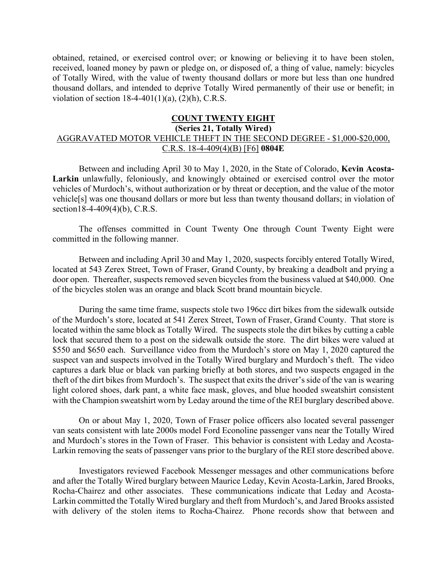obtained, retained, or exercised control over; or knowing or believing it to have been stolen, received, loaned money by pawn or pledge on, or disposed of, a thing of value, namely: bicycles of Totally Wired, with the value of twenty thousand dollars or more but less than one hundred thousand dollars, and intended to deprive Totally Wired permanently of their use or benefit; in violation of section  $18-4-401(1)(a)$ ,  $(2)(h)$ , C.R.S.

## **COUNT TWENTY EIGHT**

#### **(Series 21, Totally Wired)**

## AGGRAVATED MOTOR VEHICLE THEFT IN THE SECOND DEGREE - \$1,000-\$20,000, C.R.S. 18-4-409(4)(B) [F6] **0804E**

Between and including April 30 to May 1, 2020, in the State of Colorado, **Kevin Acosta-Larkin** unlawfully, feloniously, and knowingly obtained or exercised control over the motor vehicles of Murdoch's, without authorization or by threat or deception, and the value of the motor vehicle[s] was one thousand dollars or more but less than twenty thousand dollars; in violation of section18-4-409(4)(b), C.R.S.

The offenses committed in Count Twenty One through Count Twenty Eight were committed in the following manner.

Between and including April 30 and May 1, 2020, suspects forcibly entered Totally Wired, located at 543 Zerex Street, Town of Fraser, Grand County, by breaking a deadbolt and prying a door open. Thereafter, suspects removed seven bicycles from the business valued at \$40,000. One of the bicycles stolen was an orange and black Scott brand mountain bicycle.

During the same time frame, suspects stole two 196cc dirt bikes from the sidewalk outside of the Murdoch's store, located at 541 Zerex Street, Town of Fraser, Grand County. That store is located within the same block as Totally Wired. The suspects stole the dirt bikes by cutting a cable lock that secured them to a post on the sidewalk outside the store. The dirt bikes were valued at \$550 and \$650 each. Surveillance video from the Murdoch's store on May 1, 2020 captured the suspect van and suspects involved in the Totally Wired burglary and Murdoch's theft. The video captures a dark blue or black van parking briefly at both stores, and two suspects engaged in the theft of the dirt bikes from Murdoch's. The suspect that exits the driver's side of the van is wearing light colored shoes, dark pant, a white face mask, gloves, and blue hooded sweatshirt consistent with the Champion sweatshirt worn by Leday around the time of the REI burglary described above.

On or about May 1, 2020, Town of Fraser police officers also located several passenger van seats consistent with late 2000s model Ford Econoline passenger vans near the Totally Wired and Murdoch's stores in the Town of Fraser. This behavior is consistent with Leday and Acosta-Larkin removing the seats of passenger vans prior to the burglary of the REI store described above.

Investigators reviewed Facebook Messenger messages and other communications before and after the Totally Wired burglary between Maurice Leday, Kevin Acosta-Larkin, Jared Brooks, Rocha-Chairez and other associates. These communications indicate that Leday and Acosta-Larkin committed the Totally Wired burglary and theft from Murdoch's, and Jared Brooks assisted with delivery of the stolen items to Rocha-Chairez. Phone records show that between and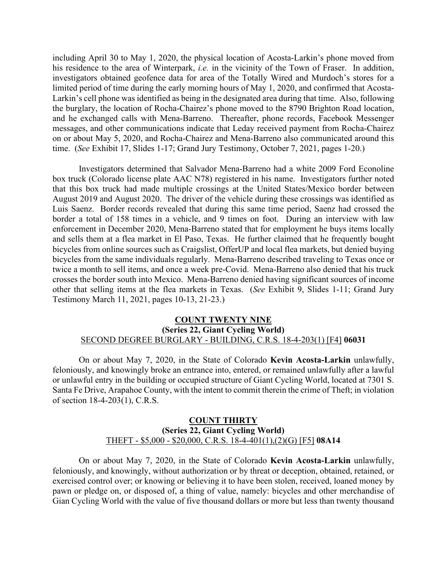including April 30 to May 1, 2020, the physical location of Acosta-Larkin's phone moved from his residence to the area of Winterpark, *i.e.* in the vicinity of the Town of Fraser. In addition, investigators obtained geofence data for area of the Totally Wired and Murdoch's stores for a limited period of time during the early morning hours of May 1, 2020, and confirmed that Acosta-Larkin's cell phone was identified as being in the designated area during that time. Also, following the burglary, the location of Rocha-Chairez's phone moved to the 8790 Brighton Road location, and he exchanged calls with Mena-Barreno. Thereafter, phone records, Facebook Messenger messages, and other communications indicate that Leday received payment from Rocha-Chairez on or about May 5, 2020, and Rocha-Chairez and Mena-Barreno also communicated around this time. (*See* Exhibit 17, Slides 1-17; Grand Jury Testimony, October 7, 2021, pages 1-20.)

Investigators determined that Salvador Mena-Barreno had a white 2009 Ford Econoline box truck (Colorado license plate AAC N78) registered in his name. Investigators further noted that this box truck had made multiple crossings at the United States/Mexico border between August 2019 and August 2020. The driver of the vehicle during these crossings was identified as Luis Saenz. Border records revealed that during this same time period, Saenz had crossed the border a total of 158 times in a vehicle, and 9 times on foot. During an interview with law enforcement in December 2020, Mena-Barreno stated that for employment he buys items locally and sells them at a flea market in El Paso, Texas. He further claimed that he frequently bought bicycles from online sources such as Craigslist, OfferUP and local flea markets, but denied buying bicycles from the same individuals regularly. Mena-Barreno described traveling to Texas once or twice a month to sell items, and once a week pre-Covid. Mena-Barreno also denied that his truck crosses the border south into Mexico. Mena-Barreno denied having significant sources of income other that selling items at the flea markets in Texas. (*See* Exhibit 9, Slides 1-11; Grand Jury Testimony March 11, 2021, pages 10-13, 21-23.)

### **COUNT TWENTY NINE (Series 22, Giant Cycling World)** SECOND DEGREE BURGLARY - BUILDING, C.R.S. 18-4-203(1) [F4] **06031**

On or about May 7, 2020, in the State of Colorado **Kevin Acosta-Larkin** unlawfully, feloniously, and knowingly broke an entrance into, entered, or remained unlawfully after a lawful or unlawful entry in the building or occupied structure of Giant Cycling World, located at 7301 S. Santa Fe Drive, Arapahoe County, with the intent to commit therein the crime of Theft; in violation of section 18-4-203(1), C.R.S.

## **COUNT THIRTY (Series 22, Giant Cycling World)** THEFT - \$5,000 - \$20,000, C.R.S. 18-4-401(1),(2)(G) [F5] **08A14**

On or about May 7, 2020, in the State of Colorado **Kevin Acosta-Larkin** unlawfully, feloniously, and knowingly, without authorization or by threat or deception, obtained, retained, or exercised control over; or knowing or believing it to have been stolen, received, loaned money by pawn or pledge on, or disposed of, a thing of value, namely: bicycles and other merchandise of Gian Cycling World with the value of five thousand dollars or more but less than twenty thousand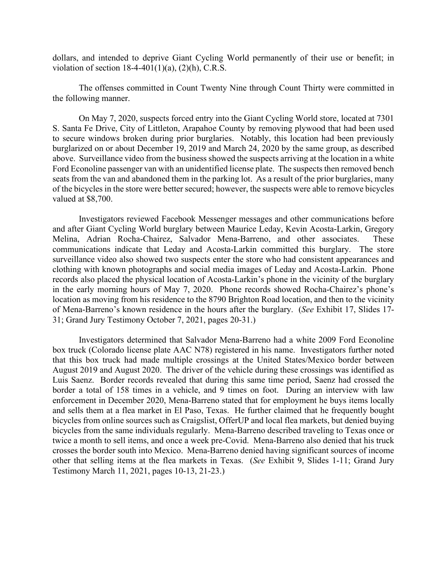dollars, and intended to deprive Giant Cycling World permanently of their use or benefit; in violation of section  $18-4-401(1)(a)$ ,  $(2)(h)$ , C.R.S.

The offenses committed in Count Twenty Nine through Count Thirty were committed in the following manner.

On May 7, 2020, suspects forced entry into the Giant Cycling World store, located at 7301 S. Santa Fe Drive, City of Littleton, Arapahoe County by removing plywood that had been used to secure windows broken during prior burglaries. Notably, this location had been previously burglarized on or about December 19, 2019 and March 24, 2020 by the same group, as described above. Surveillance video from the business showed the suspects arriving at the location in a white Ford Econoline passenger van with an unidentified license plate. The suspects then removed bench seats from the van and abandoned them in the parking lot. As a result of the prior burglaries, many of the bicycles in the store were better secured; however, the suspects were able to remove bicycles valued at \$8,700.

Investigators reviewed Facebook Messenger messages and other communications before and after Giant Cycling World burglary between Maurice Leday, Kevin Acosta-Larkin, Gregory Melina, Adrian Rocha-Chairez, Salvador Mena-Barreno, and other associates. These communications indicate that Leday and Acosta-Larkin committed this burglary. The store surveillance video also showed two suspects enter the store who had consistent appearances and clothing with known photographs and social media images of Leday and Acosta-Larkin. Phone records also placed the physical location of Acosta-Larkin's phone in the vicinity of the burglary in the early morning hours of May 7, 2020. Phone records showed Rocha-Chairez's phone's location as moving from his residence to the 8790 Brighton Road location, and then to the vicinity of Mena-Barreno's known residence in the hours after the burglary. (*See* Exhibit 17, Slides 17- 31; Grand Jury Testimony October 7, 2021, pages 20-31.)

Investigators determined that Salvador Mena-Barreno had a white 2009 Ford Econoline box truck (Colorado license plate AAC N78) registered in his name. Investigators further noted that this box truck had made multiple crossings at the United States/Mexico border between August 2019 and August 2020. The driver of the vehicle during these crossings was identified as Luis Saenz. Border records revealed that during this same time period, Saenz had crossed the border a total of 158 times in a vehicle, and 9 times on foot. During an interview with law enforcement in December 2020, Mena-Barreno stated that for employment he buys items locally and sells them at a flea market in El Paso, Texas. He further claimed that he frequently bought bicycles from online sources such as Craigslist, OfferUP and local flea markets, but denied buying bicycles from the same individuals regularly. Mena-Barreno described traveling to Texas once or twice a month to sell items, and once a week pre-Covid. Mena-Barreno also denied that his truck crosses the border south into Mexico. Mena-Barreno denied having significant sources of income other that selling items at the flea markets in Texas. (*See* Exhibit 9, Slides 1-11; Grand Jury Testimony March 11, 2021, pages 10-13, 21-23.)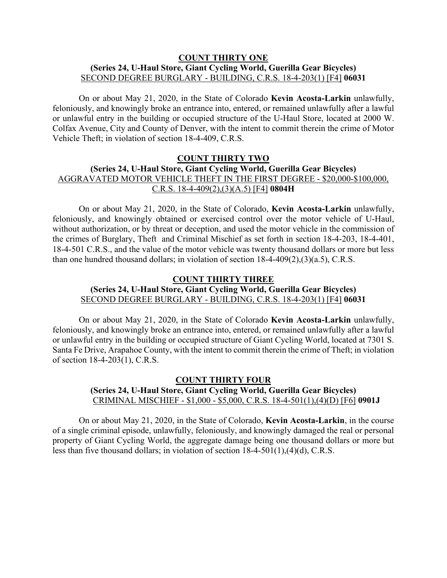## **COUNT THIRTY ONE (Series 24, U-Haul Store, Giant Cycling World, Guerilla Gear Bicycles)** SECOND DEGREE BURGLARY - BUILDING, C.R.S. 18-4-203(1) [F4] **06031**

On or about May 21, 2020, in the State of Colorado **Kevin Acosta-Larkin** unlawfully, feloniously, and knowingly broke an entrance into, entered, or remained unlawfully after a lawful or unlawful entry in the building or occupied structure of the U-Haul Store, located at 2000 W. Colfax Avenue, City and County of Denver, with the intent to commit therein the crime of Motor Vehicle Theft; in violation of section 18-4-409, C.R.S.

# **COUNT THIRTY TWO (Series 24, U-Haul Store, Giant Cycling World, Guerilla Gear Bicycles)** AGGRAVATED MOTOR VEHICLE THEFT IN THE FIRST DEGREE - \$20,000-\$100,000, C.R.S. 18-4-409(2),(3)(A.5) [F4] **0804H**

On or about May 21, 2020, in the State of Colorado, **Kevin Acosta-Larkin** unlawfully, feloniously, and knowingly obtained or exercised control over the motor vehicle of U-Haul, without authorization, or by threat or deception, and used the motor vehicle in the commission of the crimes of Burglary, Theft and Criminal Mischief as set forth in section 18-4-203, 18-4-401, 18-4-501 C.R.S., and the value of the motor vehicle was twenty thousand dollars or more but less than one hundred thousand dollars; in violation of section 18-4-409(2),(3)(a.5), C.R.S.

## **COUNT THIRTY THREE**

## **(Series 24, U-Haul Store, Giant Cycling World, Guerilla Gear Bicycles)** SECOND DEGREE BURGLARY - BUILDING, C.R.S. 18-4-203(1) [F4] **06031**

On or about May 21, 2020, in the State of Colorado **Kevin Acosta-Larkin** unlawfully, feloniously, and knowingly broke an entrance into, entered, or remained unlawfully after a lawful or unlawful entry in the building or occupied structure of Giant Cycling World, located at 7301 S. Santa Fe Drive, Arapahoe County, with the intent to commit therein the crime of Theft; in violation of section 18-4-203(1), C.R.S.

## **COUNT THIRTY FOUR (Series 24, U-Haul Store, Giant Cycling World, Guerilla Gear Bicycles)** CRIMINAL MISCHIEF - \$1,000 - \$5,000, C.R.S. 18-4-501(1),(4)(D) [F6] **0901J**

On or about May 21, 2020, in the State of Colorado, **Kevin Acosta-Larkin**, in the course of a single criminal episode, unlawfully, feloniously, and knowingly damaged the real or personal property of Giant Cycling World, the aggregate damage being one thousand dollars or more but less than five thousand dollars; in violation of section 18-4-501(1),(4)(d), C.R.S.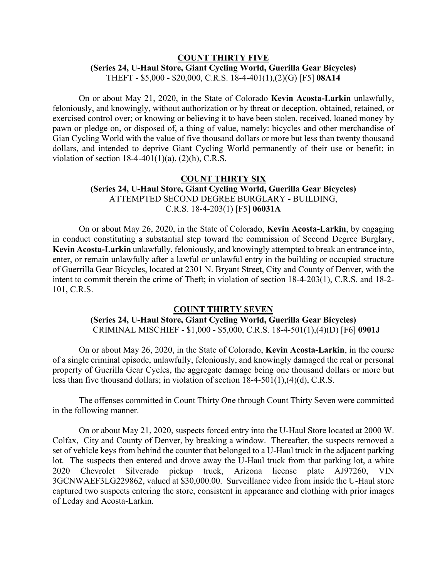## **COUNT THIRTY FIVE (Series 24, U-Haul Store, Giant Cycling World, Guerilla Gear Bicycles)** THEFT - \$5,000 - \$20,000, C.R.S. 18-4-401(1),(2)(G) [F5] **08A14**

On or about May 21, 2020, in the State of Colorado **Kevin Acosta-Larkin** unlawfully, feloniously, and knowingly, without authorization or by threat or deception, obtained, retained, or exercised control over; or knowing or believing it to have been stolen, received, loaned money by pawn or pledge on, or disposed of, a thing of value, namely: bicycles and other merchandise of Gian Cycling World with the value of five thousand dollars or more but less than twenty thousand dollars, and intended to deprive Giant Cycling World permanently of their use or benefit; in violation of section  $18-4-401(1)(a)$ ,  $(2)(h)$ , C.R.S.

# **COUNT THIRTY SIX (Series 24, U-Haul Store, Giant Cycling World, Guerilla Gear Bicycles)** ATTEMPTED SECOND DEGREE BURGLARY - BUILDING, C.R.S. 18-4-203(1) [F5] **06031A**

On or about May 26, 2020, in the State of Colorado, **Kevin Acosta-Larkin**, by engaging in conduct constituting a substantial step toward the commission of Second Degree Burglary, **Kevin Acosta-Larkin** unlawfully, feloniously, and knowingly attempted to break an entrance into, enter, or remain unlawfully after a lawful or unlawful entry in the building or occupied structure of Guerrilla Gear Bicycles, located at 2301 N. Bryant Street, City and County of Denver, with the intent to commit therein the crime of Theft; in violation of section 18-4-203(1), C.R.S. and 18-2- 101, C.R.S.

## **COUNT THIRTY SEVEN**

## **(Series 24, U-Haul Store, Giant Cycling World, Guerilla Gear Bicycles)** CRIMINAL MISCHIEF - \$1,000 - \$5,000, C.R.S. 18-4-501(1),(4)(D) [F6] **0901J**

On or about May 26, 2020, in the State of Colorado, **Kevin Acosta-Larkin**, in the course of a single criminal episode, unlawfully, feloniously, and knowingly damaged the real or personal property of Guerilla Gear Cycles, the aggregate damage being one thousand dollars or more but less than five thousand dollars; in violation of section 18-4-501(1),(4)(d), C.R.S.

The offenses committed in Count Thirty One through Count Thirty Seven were committed in the following manner.

On or about May 21, 2020, suspects forced entry into the U-Haul Store located at 2000 W. Colfax, City and County of Denver, by breaking a window. Thereafter, the suspects removed a set of vehicle keys from behind the counter that belonged to a U-Haul truck in the adjacent parking lot. The suspects then entered and drove away the U-Haul truck from that parking lot, a white 2020 Chevrolet Silverado pickup truck, Arizona license plate AJ97260, VIN 3GCNWAEF3LG229862, valued at \$30,000.00. Surveillance video from inside the U-Haul store captured two suspects entering the store, consistent in appearance and clothing with prior images of Leday and Acosta-Larkin.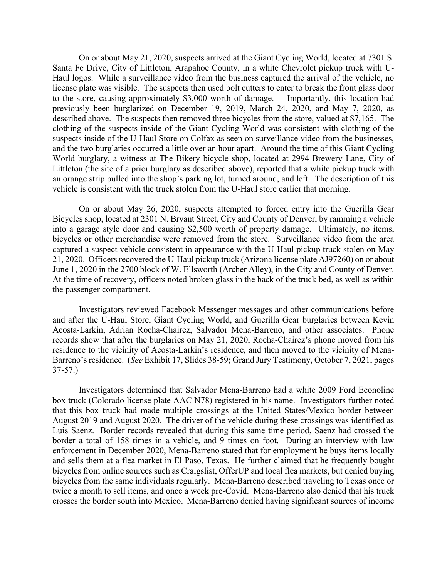On or about May 21, 2020, suspects arrived at the Giant Cycling World, located at 7301 S. Santa Fe Drive, City of Littleton, Arapahoe County, in a white Chevrolet pickup truck with U-Haul logos. While a surveillance video from the business captured the arrival of the vehicle, no license plate was visible. The suspects then used bolt cutters to enter to break the front glass door to the store, causing approximately \$3,000 worth of damage. Importantly, this location had previously been burglarized on December 19, 2019, March 24, 2020, and May 7, 2020, as described above. The suspects then removed three bicycles from the store, valued at \$7,165. The clothing of the suspects inside of the Giant Cycling World was consistent with clothing of the suspects inside of the U-Haul Store on Colfax as seen on surveillance video from the businesses, and the two burglaries occurred a little over an hour apart. Around the time of this Giant Cycling World burglary, a witness at The Bikery bicycle shop, located at 2994 Brewery Lane, City of Littleton (the site of a prior burglary as described above), reported that a white pickup truck with an orange strip pulled into the shop's parking lot, turned around, and left. The description of this vehicle is consistent with the truck stolen from the U-Haul store earlier that morning.

On or about May 26, 2020, suspects attempted to forced entry into the Guerilla Gear Bicycles shop, located at 2301 N. Bryant Street, City and County of Denver, by ramming a vehicle into a garage style door and causing \$2,500 worth of property damage. Ultimately, no items, bicycles or other merchandise were removed from the store. Surveillance video from the area captured a suspect vehicle consistent in appearance with the U-Haul pickup truck stolen on May 21, 2020. Officers recovered the U-Haul pickup truck (Arizona license plate AJ97260) on or about June 1, 2020 in the 2700 block of W. Ellsworth (Archer Alley), in the City and County of Denver. At the time of recovery, officers noted broken glass in the back of the truck bed, as well as within the passenger compartment.

Investigators reviewed Facebook Messenger messages and other communications before and after the U-Haul Store, Giant Cycling World, and Guerilla Gear burglaries between Kevin Acosta-Larkin, Adrian Rocha-Chairez, Salvador Mena-Barreno, and other associates. Phone records show that after the burglaries on May 21, 2020, Rocha-Chairez's phone moved from his residence to the vicinity of Acosta-Larkin's residence, and then moved to the vicinity of Mena-Barreno's residence. (*See* Exhibit 17, Slides 38-59; Grand Jury Testimony, October 7, 2021, pages 37-57.)

Investigators determined that Salvador Mena-Barreno had a white 2009 Ford Econoline box truck (Colorado license plate AAC N78) registered in his name. Investigators further noted that this box truck had made multiple crossings at the United States/Mexico border between August 2019 and August 2020. The driver of the vehicle during these crossings was identified as Luis Saenz. Border records revealed that during this same time period, Saenz had crossed the border a total of 158 times in a vehicle, and 9 times on foot. During an interview with law enforcement in December 2020, Mena-Barreno stated that for employment he buys items locally and sells them at a flea market in El Paso, Texas. He further claimed that he frequently bought bicycles from online sources such as Craigslist, OfferUP and local flea markets, but denied buying bicycles from the same individuals regularly. Mena-Barreno described traveling to Texas once or twice a month to sell items, and once a week pre-Covid. Mena-Barreno also denied that his truck crosses the border south into Mexico. Mena-Barreno denied having significant sources of income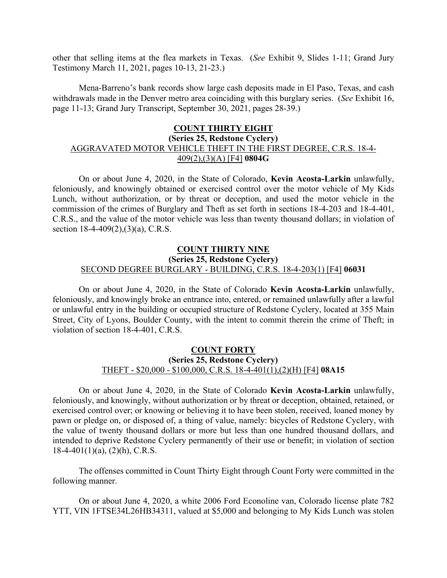other that selling items at the flea markets in Texas. (*See* Exhibit 9, Slides 1-11; Grand Jury Testimony March 11, 2021, pages 10-13, 21-23.)

Mena-Barreno's bank records show large cash deposits made in El Paso, Texas, and cash withdrawals made in the Denver metro area coinciding with this burglary series. (*See* Exhibit 16, page 11-13; Grand Jury Transcript, September 30, 2021, pages 28-39.)

### **COUNT THIRTY EIGHT**

# **(Series 25, Redstone Cyclery)** AGGRAVATED MOTOR VEHICLE THEFT IN THE FIRST DEGREE, C.R.S. 18-4- 409(2),(3)(A) [F4] **0804G**

On or about June 4, 2020, in the State of Colorado, **Kevin Acosta-Larkin** unlawfully, feloniously, and knowingly obtained or exercised control over the motor vehicle of My Kids Lunch, without authorization, or by threat or deception, and used the motor vehicle in the commission of the crimes of Burglary and Theft as set forth in sections 18-4-203 and 18-4-401, C.R.S., and the value of the motor vehicle was less than twenty thousand dollars; in violation of section 18-4-409(2),(3)(a), C.R.S.

## **COUNT THIRTY NINE (Series 25, Redstone Cyclery)** SECOND DEGREE BURGLARY - BUILDING, C.R.S. 18-4-203(1) [F4] **06031**

On or about June 4, 2020, in the State of Colorado **Kevin Acosta-Larkin** unlawfully, feloniously, and knowingly broke an entrance into, entered, or remained unlawfully after a lawful or unlawful entry in the building or occupied structure of Redstone Cyclery, located at 355 Main Street, City of Lyons, Boulder County, with the intent to commit therein the crime of Theft; in violation of section 18-4-401, C.R.S.

## **COUNT FORTY (Series 25, Redstone Cyclery)** THEFT - \$20,000 - \$100,000, C.R.S. 18-4-401(1),(2)(H) [F4] **08A15**

On or about June 4, 2020, in the State of Colorado **Kevin Acosta-Larkin** unlawfully, feloniously, and knowingly, without authorization or by threat or deception, obtained, retained, or exercised control over; or knowing or believing it to have been stolen, received, loaned money by pawn or pledge on, or disposed of, a thing of value, namely: bicycles of Redstone Cyclery, with the value of twenty thousand dollars or more but less than one hundred thousand dollars, and intended to deprive Redstone Cyclery permanently of their use or benefit; in violation of section  $18-4-401(1)(a)$ ,  $(2)(h)$ , C.R.S.

The offenses committed in Count Thirty Eight through Count Forty were committed in the following manner.

On or about June 4, 2020, a white 2006 Ford Econoline van, Colorado license plate 782 YTT, VIN 1FTSE34L26HB34311, valued at \$5,000 and belonging to My Kids Lunch was stolen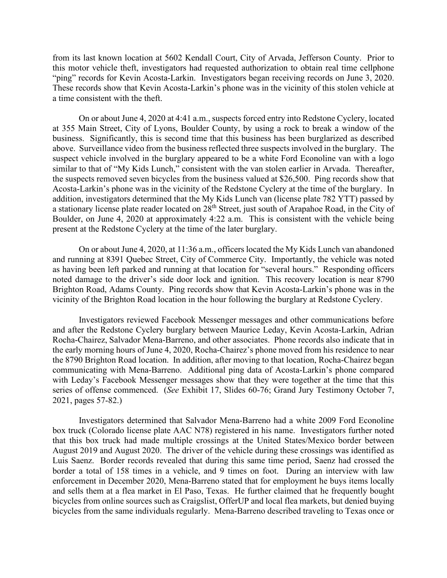from its last known location at 5602 Kendall Court, City of Arvada, Jefferson County. Prior to this motor vehicle theft, investigators had requested authorization to obtain real time cellphone "ping" records for Kevin Acosta-Larkin. Investigators began receiving records on June 3, 2020. These records show that Kevin Acosta-Larkin's phone was in the vicinity of this stolen vehicle at a time consistent with the theft.

On or about June 4, 2020 at 4:41 a.m., suspects forced entry into Redstone Cyclery, located at 355 Main Street, City of Lyons, Boulder County, by using a rock to break a window of the business. Significantly, this is second time that this business has been burglarized as described above. Surveillance video from the business reflected three suspects involved in the burglary. The suspect vehicle involved in the burglary appeared to be a white Ford Econoline van with a logo similar to that of "My Kids Lunch," consistent with the van stolen earlier in Arvada. Thereafter, the suspects removed seven bicycles from the business valued at \$26,500. Ping records show that Acosta-Larkin's phone was in the vicinity of the Redstone Cyclery at the time of the burglary. In addition, investigators determined that the My Kids Lunch van (license plate 782 YTT) passed by a stationary license plate reader located on 28th Street, just south of Arapahoe Road, in the City of Boulder, on June 4, 2020 at approximately 4:22 a.m. This is consistent with the vehicle being present at the Redstone Cyclery at the time of the later burglary.

On or about June 4, 2020, at 11:36 a.m., officers located the My Kids Lunch van abandoned and running at 8391 Quebec Street, City of Commerce City. Importantly, the vehicle was noted as having been left parked and running at that location for "several hours." Responding officers noted damage to the driver's side door lock and ignition. This recovery location is near 8790 Brighton Road, Adams County. Ping records show that Kevin Acosta-Larkin's phone was in the vicinity of the Brighton Road location in the hour following the burglary at Redstone Cyclery.

Investigators reviewed Facebook Messenger messages and other communications before and after the Redstone Cyclery burglary between Maurice Leday, Kevin Acosta-Larkin, Adrian Rocha-Chairez, Salvador Mena-Barreno, and other associates. Phone records also indicate that in the early morning hours of June 4, 2020, Rocha-Chairez's phone moved from his residence to near the 8790 Brighton Road location. In addition, after moving to that location, Rocha-Chairez began communicating with Mena-Barreno. Additional ping data of Acosta-Larkin's phone compared with Leday's Facebook Messenger messages show that they were together at the time that this series of offense commenced. (*See* Exhibit 17, Slides 60-76; Grand Jury Testimony October 7, 2021, pages 57-82.)

Investigators determined that Salvador Mena-Barreno had a white 2009 Ford Econoline box truck (Colorado license plate AAC N78) registered in his name. Investigators further noted that this box truck had made multiple crossings at the United States/Mexico border between August 2019 and August 2020. The driver of the vehicle during these crossings was identified as Luis Saenz. Border records revealed that during this same time period, Saenz had crossed the border a total of 158 times in a vehicle, and 9 times on foot. During an interview with law enforcement in December 2020, Mena-Barreno stated that for employment he buys items locally and sells them at a flea market in El Paso, Texas. He further claimed that he frequently bought bicycles from online sources such as Craigslist, OfferUP and local flea markets, but denied buying bicycles from the same individuals regularly. Mena-Barreno described traveling to Texas once or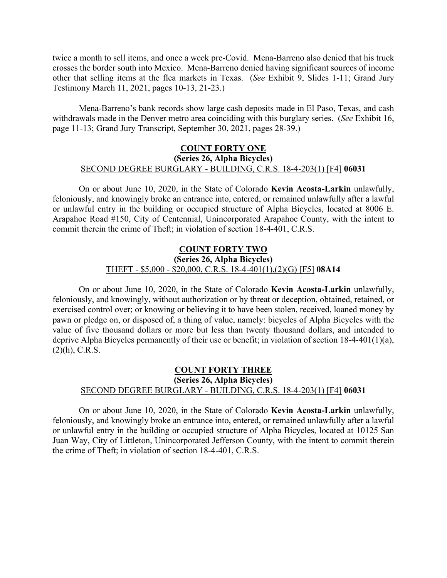twice a month to sell items, and once a week pre-Covid. Mena-Barreno also denied that his truck crosses the border south into Mexico. Mena-Barreno denied having significant sources of income other that selling items at the flea markets in Texas. (*See* Exhibit 9, Slides 1-11; Grand Jury Testimony March 11, 2021, pages 10-13, 21-23.)

Mena-Barreno's bank records show large cash deposits made in El Paso, Texas, and cash withdrawals made in the Denver metro area coinciding with this burglary series. (*See* Exhibit 16, page 11-13; Grand Jury Transcript, September 30, 2021, pages 28-39.)

## **COUNT FORTY ONE (Series 26, Alpha Bicycles)** SECOND DEGREE BURGLARY - BUILDING, C.R.S. 18-4-203(1) [F4] **06031**

On or about June 10, 2020, in the State of Colorado **Kevin Acosta-Larkin** unlawfully, feloniously, and knowingly broke an entrance into, entered, or remained unlawfully after a lawful or unlawful entry in the building or occupied structure of Alpha Bicycles, located at 8006 E. Arapahoe Road #150, City of Centennial, Unincorporated Arapahoe County, with the intent to commit therein the crime of Theft; in violation of section 18-4-401, C.R.S.

## **COUNT FORTY TWO (Series 26, Alpha Bicycles)** THEFT - \$5,000 - \$20,000, C.R.S. 18-4-401(1),(2)(G) [F5] **08A14**

On or about June 10, 2020, in the State of Colorado **Kevin Acosta-Larkin** unlawfully, feloniously, and knowingly, without authorization or by threat or deception, obtained, retained, or exercised control over; or knowing or believing it to have been stolen, received, loaned money by pawn or pledge on, or disposed of, a thing of value, namely: bicycles of Alpha Bicycles with the value of five thousand dollars or more but less than twenty thousand dollars, and intended to deprive Alpha Bicycles permanently of their use or benefit; in violation of section 18-4-401(1)(a),  $(2)(h)$ , C.R.S.

# **COUNT FORTY THREE (Series 26, Alpha Bicycles)** SECOND DEGREE BURGLARY - BUILDING, C.R.S. 18-4-203(1) [F4] **06031**

On or about June 10, 2020, in the State of Colorado **Kevin Acosta-Larkin** unlawfully, feloniously, and knowingly broke an entrance into, entered, or remained unlawfully after a lawful or unlawful entry in the building or occupied structure of Alpha Bicycles, located at 10125 San Juan Way, City of Littleton, Unincorporated Jefferson County, with the intent to commit therein the crime of Theft; in violation of section 18-4-401, C.R.S.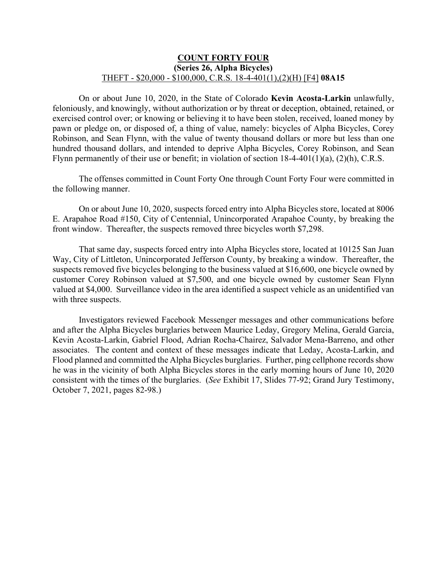## **COUNT FORTY FOUR (Series 26, Alpha Bicycles)** THEFT - \$20,000 - \$100,000, C.R.S. 18-4-401(1),(2)(H) [F4] **08A15**

On or about June 10, 2020, in the State of Colorado **Kevin Acosta-Larkin** unlawfully, feloniously, and knowingly, without authorization or by threat or deception, obtained, retained, or exercised control over; or knowing or believing it to have been stolen, received, loaned money by pawn or pledge on, or disposed of, a thing of value, namely: bicycles of Alpha Bicycles, Corey Robinson, and Sean Flynn, with the value of twenty thousand dollars or more but less than one hundred thousand dollars, and intended to deprive Alpha Bicycles, Corey Robinson, and Sean Flynn permanently of their use or benefit; in violation of section 18-4-401(1)(a), (2)(h), C.R.S.

The offenses committed in Count Forty One through Count Forty Four were committed in the following manner.

On or about June 10, 2020, suspects forced entry into Alpha Bicycles store, located at 8006 E. Arapahoe Road #150, City of Centennial, Unincorporated Arapahoe County, by breaking the front window. Thereafter, the suspects removed three bicycles worth \$7,298.

That same day, suspects forced entry into Alpha Bicycles store, located at 10125 San Juan Way, City of Littleton, Unincorporated Jefferson County, by breaking a window. Thereafter, the suspects removed five bicycles belonging to the business valued at \$16,600, one bicycle owned by customer Corey Robinson valued at \$7,500, and one bicycle owned by customer Sean Flynn valued at \$4,000. Surveillance video in the area identified a suspect vehicle as an unidentified van with three suspects.

Investigators reviewed Facebook Messenger messages and other communications before and after the Alpha Bicycles burglaries between Maurice Leday, Gregory Melina, Gerald Garcia, Kevin Acosta-Larkin, Gabriel Flood, Adrian Rocha-Chairez, Salvador Mena-Barreno, and other associates. The content and context of these messages indicate that Leday, Acosta-Larkin, and Flood planned and committed the Alpha Bicycles burglaries. Further, ping cellphone records show he was in the vicinity of both Alpha Bicycles stores in the early morning hours of June 10, 2020 consistent with the times of the burglaries. (*See* Exhibit 17, Slides 77-92; Grand Jury Testimony, October 7, 2021, pages 82-98.)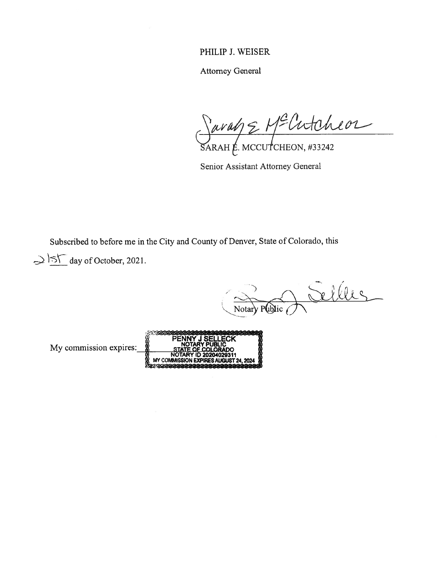# PHILIP J. WEISER

Attorney General

 $\forall$ uran $\leq$  M-Untuined ARAH E. MCCUTCHEON, #33242

Senior Assistant Attorney General

Subscribed to before me in the City and County of Denver, State of Colorado, this

 $\Rightarrow$  ST day of October, 2021.

 $\overline{f}$ Notary  $P(b)$